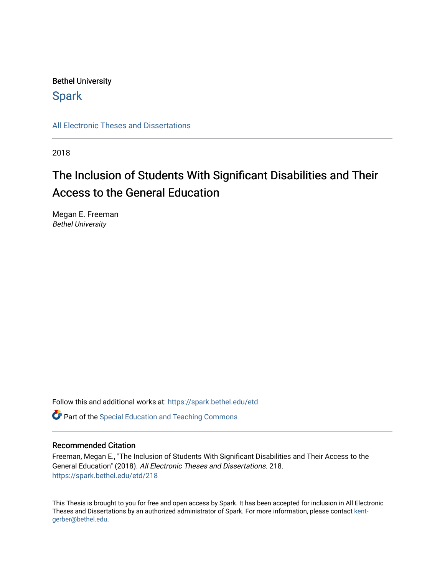## Bethel University

## **Spark**

[All Electronic Theses and Dissertations](https://spark.bethel.edu/etd) 

2018

# The Inclusion of Students With Significant Disabilities and Their Access to the General Education

Megan E. Freeman Bethel University

Follow this and additional works at: [https://spark.bethel.edu/etd](https://spark.bethel.edu/etd?utm_source=spark.bethel.edu%2Fetd%2F218&utm_medium=PDF&utm_campaign=PDFCoverPages)

**C** Part of the Special Education and Teaching Commons

### Recommended Citation

Freeman, Megan E., "The Inclusion of Students With Significant Disabilities and Their Access to the General Education" (2018). All Electronic Theses and Dissertations. 218. [https://spark.bethel.edu/etd/218](https://spark.bethel.edu/etd/218?utm_source=spark.bethel.edu%2Fetd%2F218&utm_medium=PDF&utm_campaign=PDFCoverPages)

This Thesis is brought to you for free and open access by Spark. It has been accepted for inclusion in All Electronic Theses and Dissertations by an authorized administrator of Spark. For more information, please contact [kent](mailto:kent-gerber@bethel.edu)[gerber@bethel.edu.](mailto:kent-gerber@bethel.edu)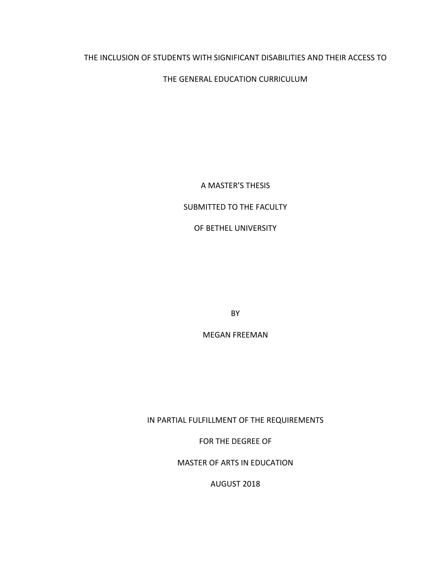## THE INCLUSION OF STUDENTS WITH SIGNIFICANT DISABILITIES AND THEIR ACCESS TO

## THE GENERAL EDUCATION CURRICULUM

A MASTER'S THESIS

## SUBMITTED TO THE FACULTY

OF BETHEL UNIVERSITY

BY

MEGAN FREEMAN

IN PARTIAL FULFILLMENT OF THE REQUIREMENTS

FOR THE DEGREE OF

MASTER OF ARTS IN EDUCATION

AUGUST 2018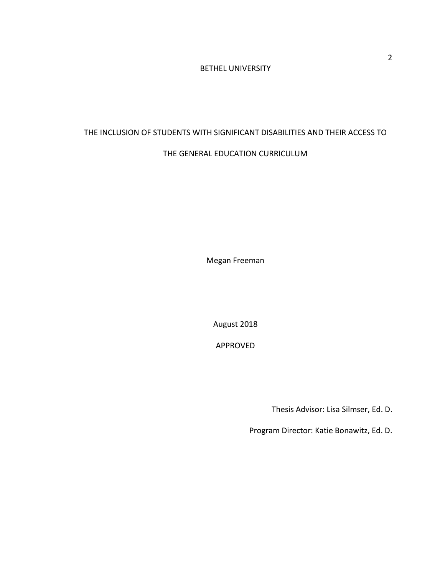## BETHEL UNIVERSITY

## THE INCLUSION OF STUDENTS WITH SIGNIFICANT DISABILITIES AND THEIR ACCESS TO

## THE GENERAL EDUCATION CURRICULUM

Megan Freeman

August 2018

APPROVED

Thesis Advisor: Lisa Silmser, Ed. D.

Program Director: Katie Bonawitz, Ed. D.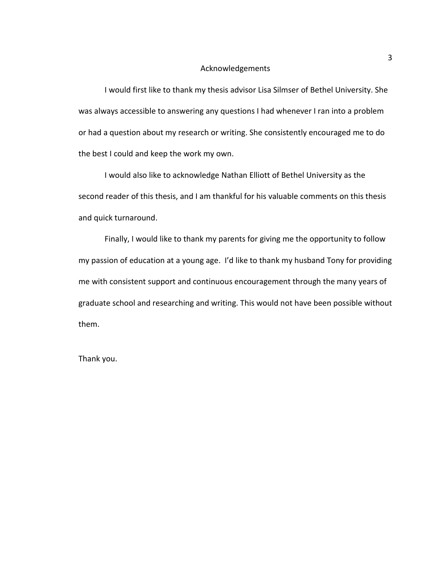#### Acknowledgements

I would first like to thank my thesis advisor Lisa Silmser of Bethel University. She was always accessible to answering any questions I had whenever I ran into a problem or had a question about my research or writing. She consistently encouraged me to do the best I could and keep the work my own.

I would also like to acknowledge Nathan Elliott of Bethel University as the second reader of this thesis, and I am thankful for his valuable comments on this thesis and quick turnaround.

Finally, I would like to thank my parents for giving me the opportunity to follow my passion of education at a young age. I'd like to thank my husband Tony for providing me with consistent support and continuous encouragement through the many years of graduate school and researching and writing. This would not have been possible without them.

Thank you.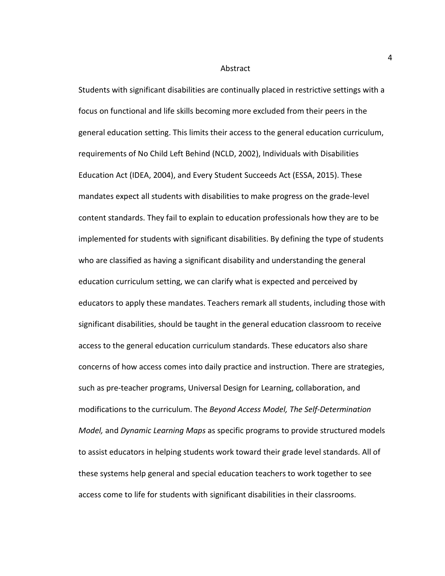#### Abstract

Students with significant disabilities are continually placed in restrictive settings with a focus on functional and life skills becoming more excluded from their peers in the general education setting. This limits their access to the general education curriculum, requirements of No Child Left Behind (NCLD, 2002), Individuals with Disabilities Education Act (IDEA, 2004), and Every Student Succeeds Act (ESSA, 2015). These mandates expect all students with disabilities to make progress on the grade-level content standards. They fail to explain to education professionals how they are to be implemented for students with significant disabilities. By defining the type of students who are classified as having a significant disability and understanding the general education curriculum setting, we can clarify what is expected and perceived by educators to apply these mandates. Teachers remark all students, including those with significant disabilities, should be taught in the general education classroom to receive access to the general education curriculum standards. These educators also share concerns of how access comes into daily practice and instruction. There are strategies, such as pre-teacher programs, Universal Design for Learning, collaboration, and modifications to the curriculum. The *Beyond Access Model, The Self-Determination Model,* and *Dynamic Learning Maps* as specific programs to provide structured models to assist educators in helping students work toward their grade level standards. All of these systems help general and special education teachers to work together to see access come to life for students with significant disabilities in their classrooms.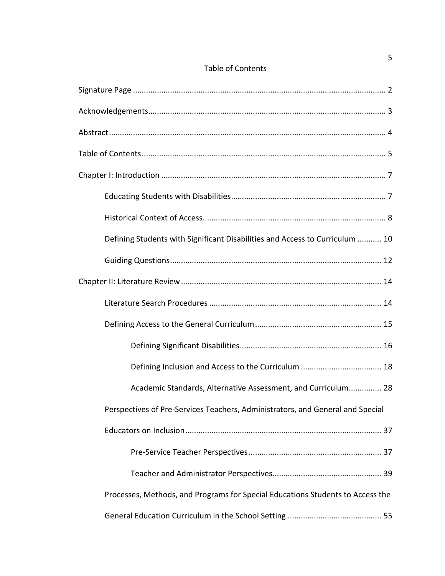|  | <b>Table of Contents</b> |
|--|--------------------------|
|--|--------------------------|

| Defining Students with Significant Disabilities and Access to Curriculum  10   |
|--------------------------------------------------------------------------------|
|                                                                                |
|                                                                                |
|                                                                                |
|                                                                                |
|                                                                                |
|                                                                                |
| Academic Standards, Alternative Assessment, and Curriculum 28                  |
| Perspectives of Pre-Services Teachers, Administrators, and General and Special |
|                                                                                |
|                                                                                |
|                                                                                |
| Processes, Methods, and Programs for Special Educations Students to Access the |
|                                                                                |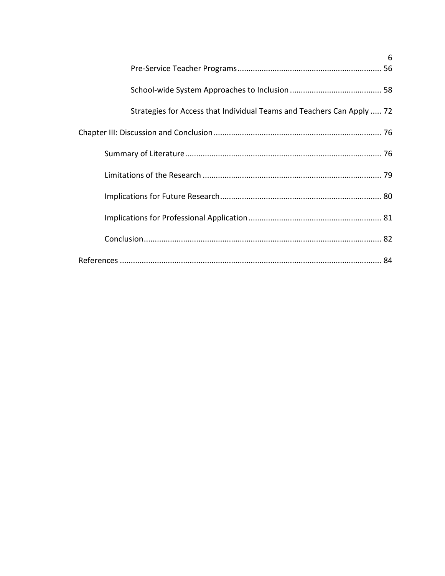|                                                                        | 6 |
|------------------------------------------------------------------------|---|
|                                                                        |   |
|                                                                        |   |
| Strategies for Access that Individual Teams and Teachers Can Apply  72 |   |
|                                                                        |   |
|                                                                        |   |
|                                                                        |   |
|                                                                        |   |
|                                                                        |   |
|                                                                        |   |
|                                                                        |   |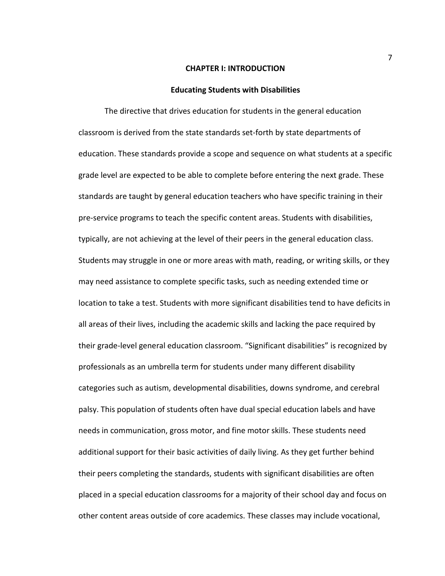#### **CHAPTER I: INTRODUCTION**

#### **Educating Students with Disabilities**

The directive that drives education for students in the general education classroom is derived from the state standards set-forth by state departments of education. These standards provide a scope and sequence on what students at a specific grade level are expected to be able to complete before entering the next grade. These standards are taught by general education teachers who have specific training in their pre-service programs to teach the specific content areas. Students with disabilities, typically, are not achieving at the level of their peers in the general education class. Students may struggle in one or more areas with math, reading, or writing skills, or they may need assistance to complete specific tasks, such as needing extended time or location to take a test. Students with more significant disabilities tend to have deficits in all areas of their lives, including the academic skills and lacking the pace required by their grade-level general education classroom. "Significant disabilities" is recognized by professionals as an umbrella term for students under many different disability categories such as autism, developmental disabilities, downs syndrome, and cerebral palsy. This population of students often have dual special education labels and have needs in communication, gross motor, and fine motor skills. These students need additional support for their basic activities of daily living. As they get further behind their peers completing the standards, students with significant disabilities are often placed in a special education classrooms for a majority of their school day and focus on other content areas outside of core academics. These classes may include vocational,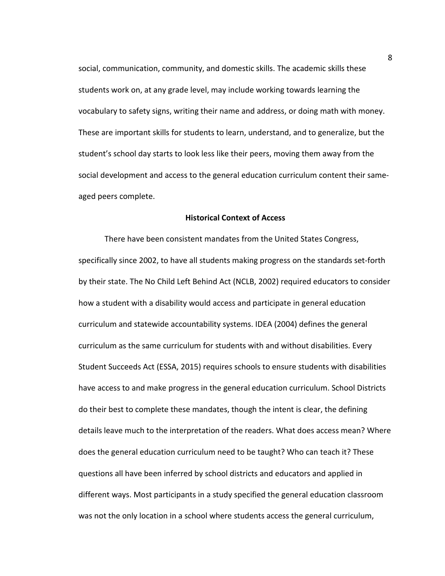social, communication, community, and domestic skills. The academic skills these students work on, at any grade level, may include working towards learning the vocabulary to safety signs, writing their name and address, or doing math with money. These are important skills for students to learn, understand, and to generalize, but the student's school day starts to look less like their peers, moving them away from the social development and access to the general education curriculum content their sameaged peers complete.

#### **Historical Context of Access**

There have been consistent mandates from the United States Congress, specifically since 2002, to have all students making progress on the standards set-forth by their state. The No Child Left Behind Act (NCLB, 2002) required educators to consider how a student with a disability would access and participate in general education curriculum and statewide accountability systems. IDEA (2004) defines the general curriculum as the same curriculum for students with and without disabilities. Every Student Succeeds Act (ESSA, 2015) requires schools to ensure students with disabilities have access to and make progress in the general education curriculum. School Districts do their best to complete these mandates, though the intent is clear, the defining details leave much to the interpretation of the readers. What does access mean? Where does the general education curriculum need to be taught? Who can teach it? These questions all have been inferred by school districts and educators and applied in different ways. Most participants in a study specified the general education classroom was not the only location in a school where students access the general curriculum,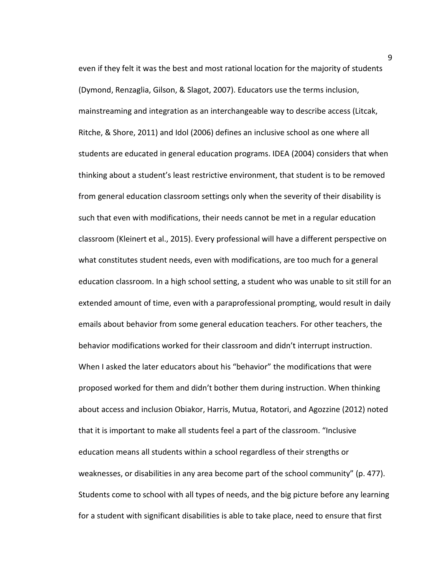even if they felt it was the best and most rational location for the majority of students (Dymond, Renzaglia, Gilson, & Slagot, 2007). Educators use the terms inclusion, mainstreaming and integration as an interchangeable way to describe access (Litcak, Ritche, & Shore, 2011) and Idol (2006) defines an inclusive school as one where all students are educated in general education programs. IDEA (2004) considers that when thinking about a student's least restrictive environment, that student is to be removed from general education classroom settings only when the severity of their disability is such that even with modifications, their needs cannot be met in a regular education classroom (Kleinert et al., 2015). Every professional will have a different perspective on what constitutes student needs, even with modifications, are too much for a general education classroom. In a high school setting, a student who was unable to sit still for an extended amount of time, even with a paraprofessional prompting, would result in daily emails about behavior from some general education teachers. For other teachers, the behavior modifications worked for their classroom and didn't interrupt instruction. When I asked the later educators about his "behavior" the modifications that were proposed worked for them and didn't bother them during instruction. When thinking about access and inclusion Obiakor, Harris, Mutua, Rotatori, and Agozzine (2012) noted that it is important to make all students feel a part of the classroom. "Inclusive education means all students within a school regardless of their strengths or weaknesses, or disabilities in any area become part of the school community" (p. 477). Students come to school with all types of needs, and the big picture before any learning for a student with significant disabilities is able to take place, need to ensure that first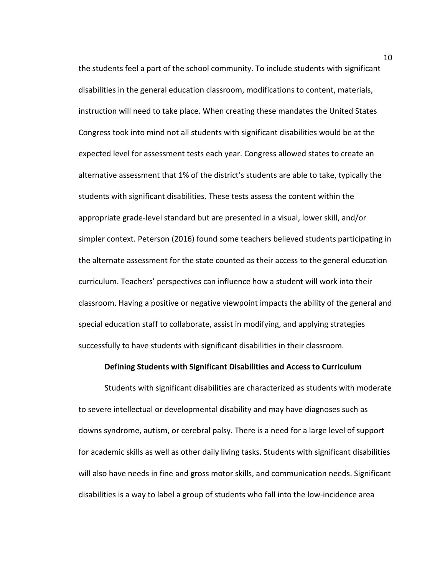the students feel a part of the school community. To include students with significant disabilities in the general education classroom, modifications to content, materials, instruction will need to take place. When creating these mandates the United States Congress took into mind not all students with significant disabilities would be at the expected level for assessment tests each year. Congress allowed states to create an alternative assessment that 1% of the district's students are able to take, typically the students with significant disabilities. These tests assess the content within the appropriate grade-level standard but are presented in a visual, lower skill, and/or simpler context. Peterson (2016) found some teachers believed students participating in the alternate assessment for the state counted as their access to the general education curriculum. Teachers' perspectives can influence how a student will work into their classroom. Having a positive or negative viewpoint impacts the ability of the general and special education staff to collaborate, assist in modifying, and applying strategies successfully to have students with significant disabilities in their classroom.

#### **Defining Students with Significant Disabilities and Access to Curriculum**

Students with significant disabilities are characterized as students with moderate to severe intellectual or developmental disability and may have diagnoses such as downs syndrome, autism, or cerebral palsy. There is a need for a large level of support for academic skills as well as other daily living tasks. Students with significant disabilities will also have needs in fine and gross motor skills, and communication needs. Significant disabilities is a way to label a group of students who fall into the low-incidence area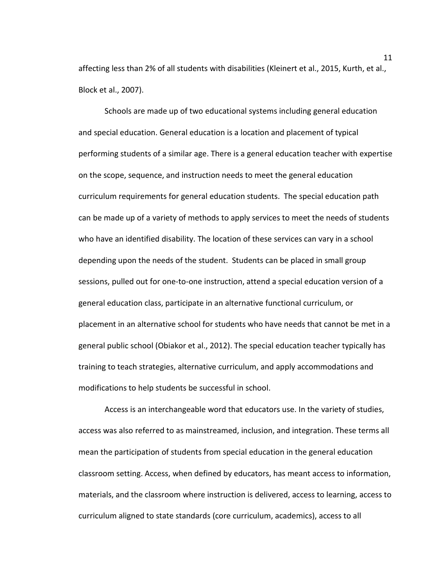affecting less than 2% of all students with disabilities (Kleinert et al., 2015, Kurth, et al., Block et al., 2007).

Schools are made up of two educational systems including general education and special education. General education is a location and placement of typical performing students of a similar age. There is a general education teacher with expertise on the scope, sequence, and instruction needs to meet the general education curriculum requirements for general education students. The special education path can be made up of a variety of methods to apply services to meet the needs of students who have an identified disability. The location of these services can vary in a school depending upon the needs of the student. Students can be placed in small group sessions, pulled out for one-to-one instruction, attend a special education version of a general education class, participate in an alternative functional curriculum, or placement in an alternative school for students who have needs that cannot be met in a general public school (Obiakor et al., 2012). The special education teacher typically has training to teach strategies, alternative curriculum, and apply accommodations and modifications to help students be successful in school.

Access is an interchangeable word that educators use. In the variety of studies, access was also referred to as mainstreamed, inclusion, and integration. These terms all mean the participation of students from special education in the general education classroom setting. Access, when defined by educators, has meant access to information, materials, and the classroom where instruction is delivered, access to learning, access to curriculum aligned to state standards (core curriculum, academics), access to all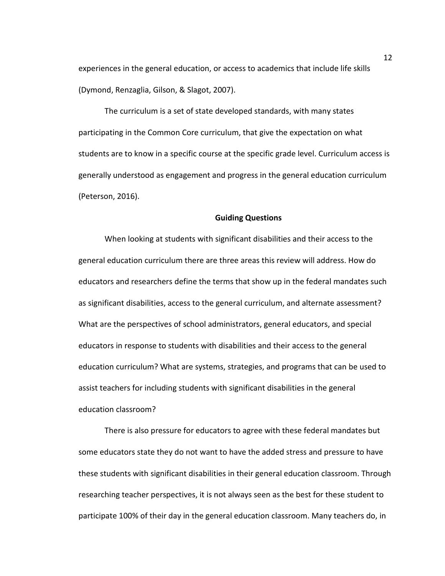experiences in the general education, or access to academics that include life skills (Dymond, Renzaglia, Gilson, & Slagot, 2007).

The curriculum is a set of state developed standards, with many states participating in the Common Core curriculum, that give the expectation on what students are to know in a specific course at the specific grade level. Curriculum access is generally understood as engagement and progress in the general education curriculum (Peterson, 2016).

#### **Guiding Questions**

When looking at students with significant disabilities and their access to the general education curriculum there are three areas this review will address. How do educators and researchers define the terms that show up in the federal mandates such as significant disabilities, access to the general curriculum, and alternate assessment? What are the perspectives of school administrators, general educators, and special educators in response to students with disabilities and their access to the general education curriculum? What are systems, strategies, and programs that can be used to assist teachers for including students with significant disabilities in the general education classroom?

There is also pressure for educators to agree with these federal mandates but some educators state they do not want to have the added stress and pressure to have these students with significant disabilities in their general education classroom. Through researching teacher perspectives, it is not always seen as the best for these student to participate 100% of their day in the general education classroom. Many teachers do, in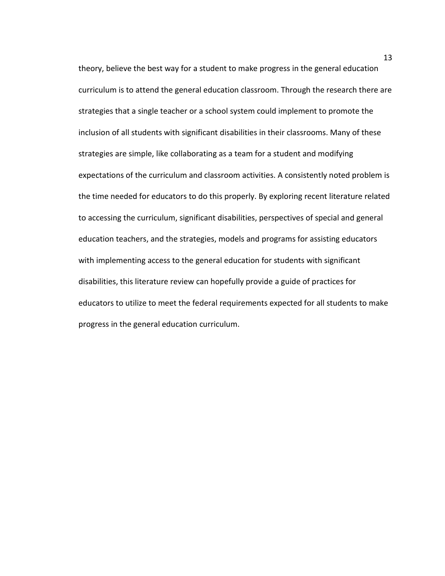theory, believe the best way for a student to make progress in the general education curriculum is to attend the general education classroom. Through the research there are strategies that a single teacher or a school system could implement to promote the inclusion of all students with significant disabilities in their classrooms. Many of these strategies are simple, like collaborating as a team for a student and modifying expectations of the curriculum and classroom activities. A consistently noted problem is the time needed for educators to do this properly. By exploring recent literature related to accessing the curriculum, significant disabilities, perspectives of special and general education teachers, and the strategies, models and programs for assisting educators with implementing access to the general education for students with significant disabilities, this literature review can hopefully provide a guide of practices for educators to utilize to meet the federal requirements expected for all students to make progress in the general education curriculum.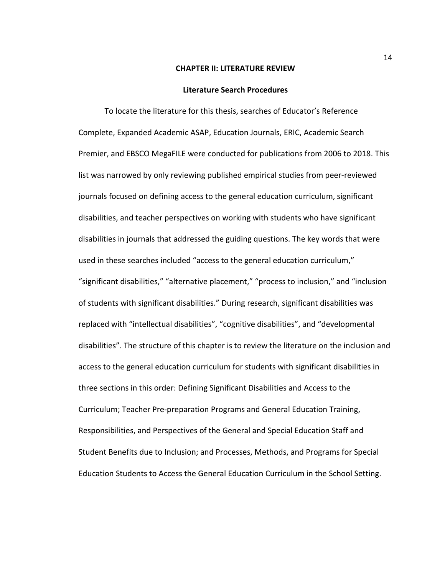#### **CHAPTER II: LITERATURE REVIEW**

#### **Literature Search Procedures**

To locate the literature for this thesis, searches of Educator's Reference Complete, Expanded Academic ASAP, Education Journals, ERIC, Academic Search Premier, and EBSCO MegaFILE were conducted for publications from 2006 to 2018. This list was narrowed by only reviewing published empirical studies from peer-reviewed journals focused on defining access to the general education curriculum, significant disabilities, and teacher perspectives on working with students who have significant disabilities in journals that addressed the guiding questions. The key words that were used in these searches included "access to the general education curriculum," "significant disabilities," "alternative placement," "process to inclusion," and "inclusion of students with significant disabilities." During research, significant disabilities was replaced with "intellectual disabilities", "cognitive disabilities", and "developmental disabilities". The structure of this chapter is to review the literature on the inclusion and access to the general education curriculum for students with significant disabilities in three sections in this order: Defining Significant Disabilities and Access to the Curriculum; Teacher Pre-preparation Programs and General Education Training, Responsibilities, and Perspectives of the General and Special Education Staff and Student Benefits due to Inclusion; and Processes, Methods, and Programs for Special Education Students to Access the General Education Curriculum in the School Setting.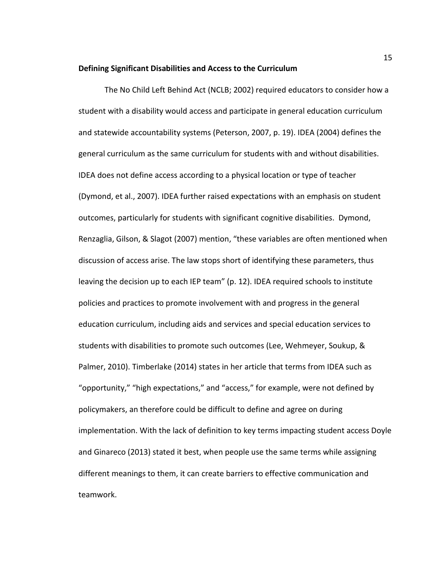#### **Defining Significant Disabilities and Access to the Curriculum**

The No Child Left Behind Act (NCLB; 2002) required educators to consider how a student with a disability would access and participate in general education curriculum and statewide accountability systems (Peterson, 2007, p. 19). IDEA (2004) defines the general curriculum as the same curriculum for students with and without disabilities. IDEA does not define access according to a physical location or type of teacher (Dymond, et al., 2007). IDEA further raised expectations with an emphasis on student outcomes, particularly for students with significant cognitive disabilities. Dymond, Renzaglia, Gilson, & Slagot (2007) mention, "these variables are often mentioned when discussion of access arise. The law stops short of identifying these parameters, thus leaving the decision up to each IEP team" (p. 12). IDEA required schools to institute policies and practices to promote involvement with and progress in the general education curriculum, including aids and services and special education services to students with disabilities to promote such outcomes (Lee, Wehmeyer, Soukup, & Palmer, 2010). Timberlake (2014) states in her article that terms from IDEA such as "opportunity," "high expectations," and "access," for example, were not defined by policymakers, an therefore could be difficult to define and agree on during implementation. With the lack of definition to key terms impacting student access Doyle and Ginareco (2013) stated it best, when people use the same terms while assigning different meanings to them, it can create barriers to effective communication and teamwork.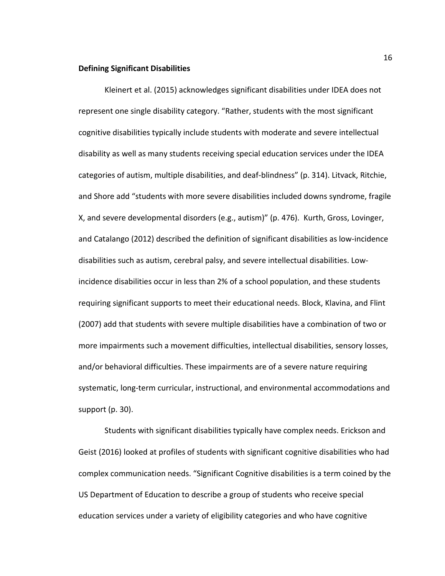#### **Defining Significant Disabilities**

Kleinert et al. (2015) acknowledges significant disabilities under IDEA does not represent one single disability category. "Rather, students with the most significant cognitive disabilities typically include students with moderate and severe intellectual disability as well as many students receiving special education services under the IDEA categories of autism, multiple disabilities, and deaf-blindness" (p. 314). Litvack, Ritchie, and Shore add "students with more severe disabilities included downs syndrome, fragile X, and severe developmental disorders (e.g., autism)" (p. 476). Kurth, Gross, Lovinger, and Catalango (2012) described the definition of significant disabilities as low-incidence disabilities such as autism, cerebral palsy, and severe intellectual disabilities. Lowincidence disabilities occur in less than 2% of a school population, and these students requiring significant supports to meet their educational needs. Block, Klavina, and Flint (2007) add that students with severe multiple disabilities have a combination of two or more impairments such a movement difficulties, intellectual disabilities, sensory losses, and/or behavioral difficulties. These impairments are of a severe nature requiring systematic, long-term curricular, instructional, and environmental accommodations and support (p. 30).

Students with significant disabilities typically have complex needs. Erickson and Geist (2016) looked at profiles of students with significant cognitive disabilities who had complex communication needs. "Significant Cognitive disabilities is a term coined by the US Department of Education to describe a group of students who receive special education services under a variety of eligibility categories and who have cognitive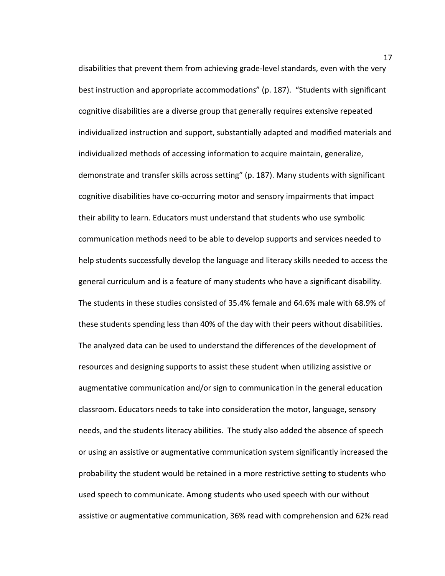disabilities that prevent them from achieving grade-level standards, even with the very best instruction and appropriate accommodations" (p. 187). "Students with significant cognitive disabilities are a diverse group that generally requires extensive repeated individualized instruction and support, substantially adapted and modified materials and individualized methods of accessing information to acquire maintain, generalize, demonstrate and transfer skills across setting" (p. 187). Many students with significant cognitive disabilities have co-occurring motor and sensory impairments that impact their ability to learn. Educators must understand that students who use symbolic communication methods need to be able to develop supports and services needed to help students successfully develop the language and literacy skills needed to access the general curriculum and is a feature of many students who have a significant disability. The students in these studies consisted of 35.4% female and 64.6% male with 68.9% of these students spending less than 40% of the day with their peers without disabilities. The analyzed data can be used to understand the differences of the development of resources and designing supports to assist these student when utilizing assistive or augmentative communication and/or sign to communication in the general education classroom. Educators needs to take into consideration the motor, language, sensory needs, and the students literacy abilities. The study also added the absence of speech or using an assistive or augmentative communication system significantly increased the probability the student would be retained in a more restrictive setting to students who used speech to communicate. Among students who used speech with our without assistive or augmentative communication, 36% read with comprehension and 62% read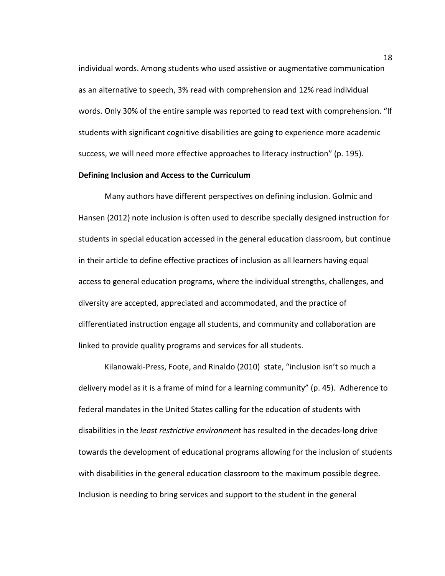individual words. Among students who used assistive or augmentative communication as an alternative to speech, 3% read with comprehension and 12% read individual words. Only 30% of the entire sample was reported to read text with comprehension. "If students with significant cognitive disabilities are going to experience more academic success, we will need more effective approaches to literacy instruction" (p. 195).

#### **Defining Inclusion and Access to the Curriculum**

Many authors have different perspectives on defining inclusion. Golmic and Hansen (2012) note inclusion is often used to describe specially designed instruction for students in special education accessed in the general education classroom, but continue in their article to define effective practices of inclusion as all learners having equal access to general education programs, where the individual strengths, challenges, and diversity are accepted, appreciated and accommodated, and the practice of differentiated instruction engage all students, and community and collaboration are linked to provide quality programs and services for all students.

Kilanowaki-Press, Foote, and Rinaldo (2010) state, "inclusion isn't so much a delivery model as it is a frame of mind for a learning community" (p. 45). Adherence to federal mandates in the United States calling for the education of students with disabilities in the *least restrictive environment* has resulted in the decades-long drive towards the development of educational programs allowing for the inclusion of students with disabilities in the general education classroom to the maximum possible degree. Inclusion is needing to bring services and support to the student in the general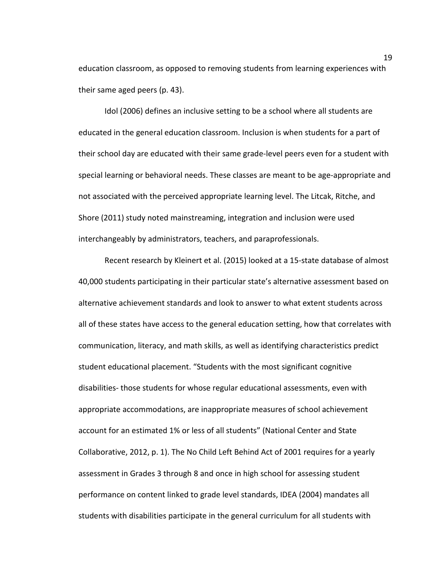education classroom, as opposed to removing students from learning experiences with their same aged peers (p. 43).

Idol (2006) defines an inclusive setting to be a school where all students are educated in the general education classroom. Inclusion is when students for a part of their school day are educated with their same grade-level peers even for a student with special learning or behavioral needs. These classes are meant to be age-appropriate and not associated with the perceived appropriate learning level. The Litcak, Ritche, and Shore (2011) study noted mainstreaming, integration and inclusion were used interchangeably by administrators, teachers, and paraprofessionals.

Recent research by Kleinert et al. (2015) looked at a 15-state database of almost 40,000 students participating in their particular state's alternative assessment based on alternative achievement standards and look to answer to what extent students across all of these states have access to the general education setting, how that correlates with communication, literacy, and math skills, as well as identifying characteristics predict student educational placement. "Students with the most significant cognitive disabilities- those students for whose regular educational assessments, even with appropriate accommodations, are inappropriate measures of school achievement account for an estimated 1% or less of all students" (National Center and State Collaborative, 2012, p. 1). The No Child Left Behind Act of 2001 requires for a yearly assessment in Grades 3 through 8 and once in high school for assessing student performance on content linked to grade level standards, IDEA (2004) mandates all students with disabilities participate in the general curriculum for all students with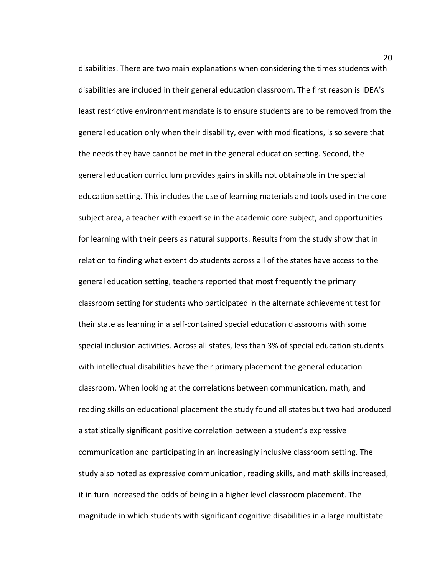disabilities. There are two main explanations when considering the times students with disabilities are included in their general education classroom. The first reason is IDEA's least restrictive environment mandate is to ensure students are to be removed from the general education only when their disability, even with modifications, is so severe that the needs they have cannot be met in the general education setting. Second, the general education curriculum provides gains in skills not obtainable in the special education setting. This includes the use of learning materials and tools used in the core subject area, a teacher with expertise in the academic core subject, and opportunities for learning with their peers as natural supports. Results from the study show that in relation to finding what extent do students across all of the states have access to the general education setting, teachers reported that most frequently the primary classroom setting for students who participated in the alternate achievement test for their state as learning in a self-contained special education classrooms with some special inclusion activities. Across all states, less than 3% of special education students with intellectual disabilities have their primary placement the general education classroom. When looking at the correlations between communication, math, and reading skills on educational placement the study found all states but two had produced a statistically significant positive correlation between a student's expressive communication and participating in an increasingly inclusive classroom setting. The study also noted as expressive communication, reading skills, and math skills increased, it in turn increased the odds of being in a higher level classroom placement. The magnitude in which students with significant cognitive disabilities in a large multistate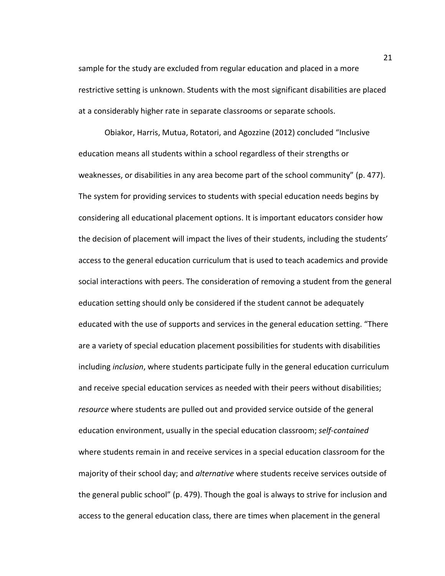sample for the study are excluded from regular education and placed in a more restrictive setting is unknown. Students with the most significant disabilities are placed at a considerably higher rate in separate classrooms or separate schools.

Obiakor, Harris, Mutua, Rotatori, and Agozzine (2012) concluded "Inclusive education means all students within a school regardless of their strengths or weaknesses, or disabilities in any area become part of the school community" (p. 477). The system for providing services to students with special education needs begins by considering all educational placement options. It is important educators consider how the decision of placement will impact the lives of their students, including the students' access to the general education curriculum that is used to teach academics and provide social interactions with peers. The consideration of removing a student from the general education setting should only be considered if the student cannot be adequately educated with the use of supports and services in the general education setting. "There are a variety of special education placement possibilities for students with disabilities including *inclusion*, where students participate fully in the general education curriculum and receive special education services as needed with their peers without disabilities; *resource* where students are pulled out and provided service outside of the general education environment, usually in the special education classroom; *self-contained* where students remain in and receive services in a special education classroom for the majority of their school day; and *alternative* where students receive services outside of the general public school" (p. 479). Though the goal is always to strive for inclusion and access to the general education class, there are times when placement in the general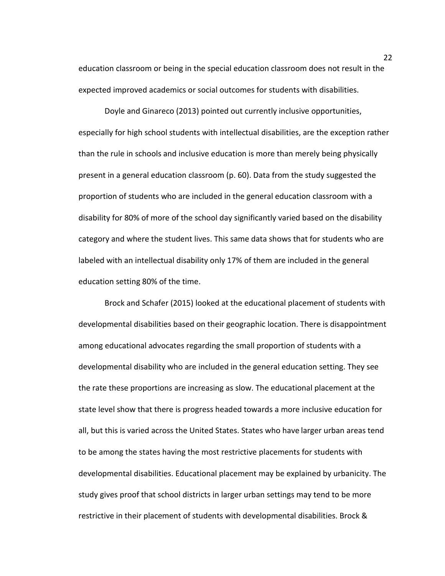education classroom or being in the special education classroom does not result in the expected improved academics or social outcomes for students with disabilities.

Doyle and Ginareco (2013) pointed out currently inclusive opportunities, especially for high school students with intellectual disabilities, are the exception rather than the rule in schools and inclusive education is more than merely being physically present in a general education classroom (p. 60). Data from the study suggested the proportion of students who are included in the general education classroom with a disability for 80% of more of the school day significantly varied based on the disability category and where the student lives. This same data shows that for students who are labeled with an intellectual disability only 17% of them are included in the general education setting 80% of the time.

Brock and Schafer (2015) looked at the educational placement of students with developmental disabilities based on their geographic location. There is disappointment among educational advocates regarding the small proportion of students with a developmental disability who are included in the general education setting. They see the rate these proportions are increasing as slow. The educational placement at the state level show that there is progress headed towards a more inclusive education for all, but this is varied across the United States. States who have larger urban areas tend to be among the states having the most restrictive placements for students with developmental disabilities. Educational placement may be explained by urbanicity. The study gives proof that school districts in larger urban settings may tend to be more restrictive in their placement of students with developmental disabilities. Brock &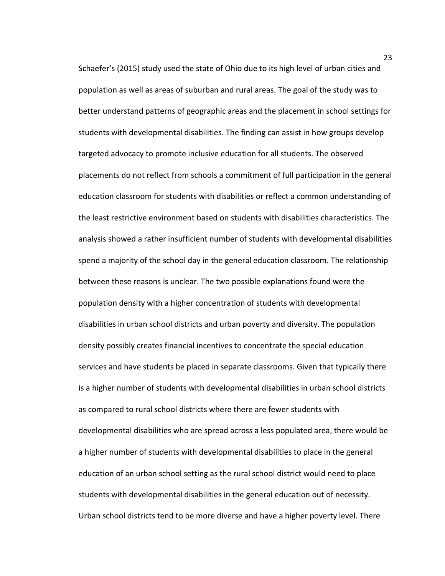Schaefer's (2015) study used the state of Ohio due to its high level of urban cities and population as well as areas of suburban and rural areas. The goal of the study was to better understand patterns of geographic areas and the placement in school settings for students with developmental disabilities. The finding can assist in how groups develop targeted advocacy to promote inclusive education for all students. The observed placements do not reflect from schools a commitment of full participation in the general education classroom for students with disabilities or reflect a common understanding of the least restrictive environment based on students with disabilities characteristics. The analysis showed a rather insufficient number of students with developmental disabilities spend a majority of the school day in the general education classroom. The relationship between these reasons is unclear. The two possible explanations found were the population density with a higher concentration of students with developmental disabilities in urban school districts and urban poverty and diversity. The population density possibly creates financial incentives to concentrate the special education services and have students be placed in separate classrooms. Given that typically there is a higher number of students with developmental disabilities in urban school districts as compared to rural school districts where there are fewer students with developmental disabilities who are spread across a less populated area, there would be a higher number of students with developmental disabilities to place in the general education of an urban school setting as the rural school district would need to place students with developmental disabilities in the general education out of necessity. Urban school districts tend to be more diverse and have a higher poverty level. There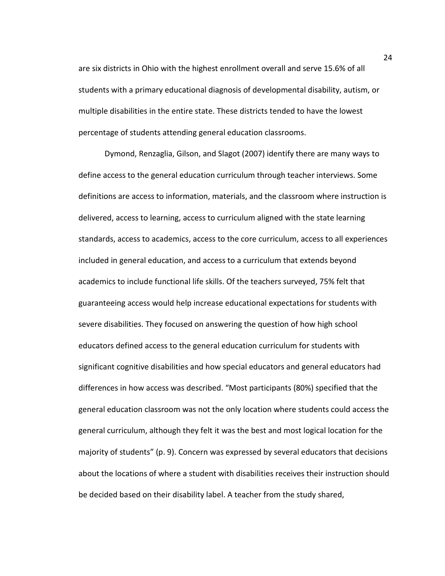are six districts in Ohio with the highest enrollment overall and serve 15.6% of all students with a primary educational diagnosis of developmental disability, autism, or multiple disabilities in the entire state. These districts tended to have the lowest percentage of students attending general education classrooms.

Dymond, Renzaglia, Gilson, and Slagot (2007) identify there are many ways to define access to the general education curriculum through teacher interviews. Some definitions are access to information, materials, and the classroom where instruction is delivered, access to learning, access to curriculum aligned with the state learning standards, access to academics, access to the core curriculum, access to all experiences included in general education, and access to a curriculum that extends beyond academics to include functional life skills. Of the teachers surveyed, 75% felt that guaranteeing access would help increase educational expectations for students with severe disabilities. They focused on answering the question of how high school educators defined access to the general education curriculum for students with significant cognitive disabilities and how special educators and general educators had differences in how access was described. "Most participants (80%) specified that the general education classroom was not the only location where students could access the general curriculum, although they felt it was the best and most logical location for the majority of students" (p. 9). Concern was expressed by several educators that decisions about the locations of where a student with disabilities receives their instruction should be decided based on their disability label. A teacher from the study shared,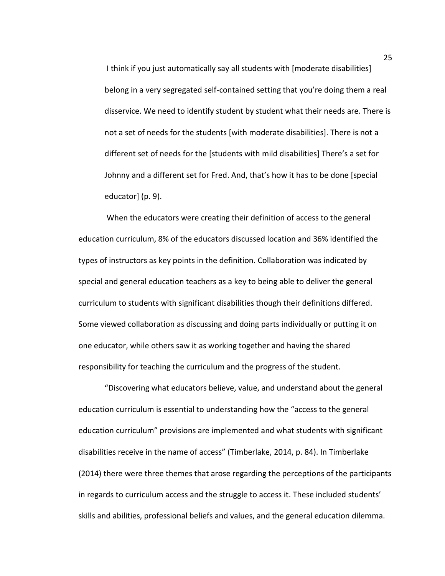I think if you just automatically say all students with [moderate disabilities] belong in a very segregated self-contained setting that you're doing them a real disservice. We need to identify student by student what their needs are. There is not a set of needs for the students [with moderate disabilities]. There is not a different set of needs for the [students with mild disabilities] There's a set for Johnny and a different set for Fred. And, that's how it has to be done [special educator] (p. 9).

When the educators were creating their definition of access to the general education curriculum, 8% of the educators discussed location and 36% identified the types of instructors as key points in the definition. Collaboration was indicated by special and general education teachers as a key to being able to deliver the general curriculum to students with significant disabilities though their definitions differed. Some viewed collaboration as discussing and doing parts individually or putting it on one educator, while others saw it as working together and having the shared responsibility for teaching the curriculum and the progress of the student.

 "Discovering what educators believe, value, and understand about the general education curriculum is essential to understanding how the "access to the general education curriculum" provisions are implemented and what students with significant disabilities receive in the name of access" (Timberlake, 2014, p. 84). In Timberlake (2014) there were three themes that arose regarding the perceptions of the participants in regards to curriculum access and the struggle to access it. These included students' skills and abilities, professional beliefs and values, and the general education dilemma.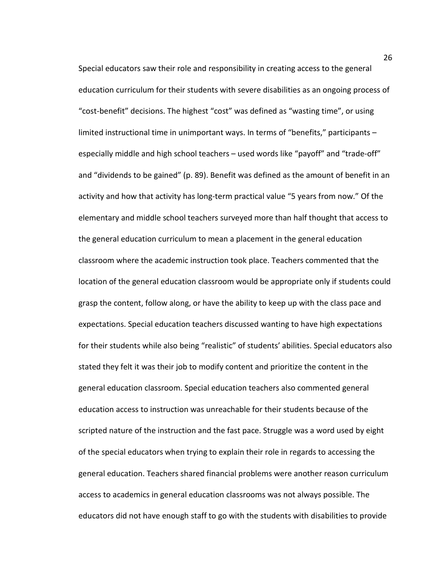Special educators saw their role and responsibility in creating access to the general education curriculum for their students with severe disabilities as an ongoing process of "cost-benefit" decisions. The highest "cost" was defined as "wasting time", or using limited instructional time in unimportant ways. In terms of "benefits," participants – especially middle and high school teachers – used words like "payoff" and "trade-off" and "dividends to be gained" (p. 89). Benefit was defined as the amount of benefit in an activity and how that activity has long-term practical value "5 years from now." Of the elementary and middle school teachers surveyed more than half thought that access to the general education curriculum to mean a placement in the general education classroom where the academic instruction took place. Teachers commented that the location of the general education classroom would be appropriate only if students could grasp the content, follow along, or have the ability to keep up with the class pace and expectations. Special education teachers discussed wanting to have high expectations for their students while also being "realistic" of students' abilities. Special educators also stated they felt it was their job to modify content and prioritize the content in the general education classroom. Special education teachers also commented general education access to instruction was unreachable for their students because of the scripted nature of the instruction and the fast pace. Struggle was a word used by eight of the special educators when trying to explain their role in regards to accessing the general education. Teachers shared financial problems were another reason curriculum access to academics in general education classrooms was not always possible. The educators did not have enough staff to go with the students with disabilities to provide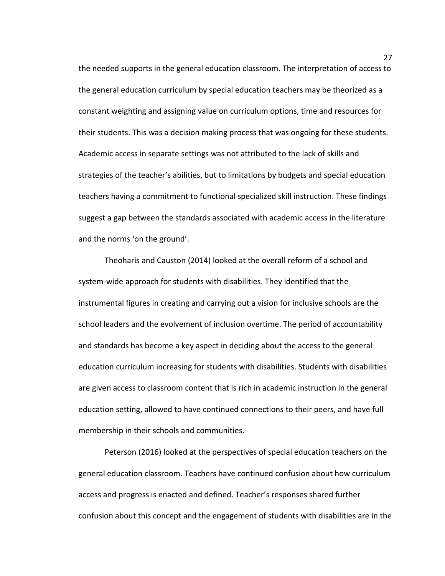the needed supports in the general education classroom. The interpretation of access to the general education curriculum by special education teachers may be theorized as a constant weighting and assigning value on curriculum options, time and resources for their students. This was a decision making process that was ongoing for these students. Academic access in separate settings was not attributed to the lack of skills and strategies of the teacher's abilities, but to limitations by budgets and special education teachers having a commitment to functional specialized skill instruction. These findings suggest a gap between the standards associated with academic access in the literature and the norms 'on the ground'.

Theoharis and Causton (2014) looked at the overall reform of a school and system-wide approach for students with disabilities. They identified that the instrumental figures in creating and carrying out a vision for inclusive schools are the school leaders and the evolvement of inclusion overtime. The period of accountability and standards has become a key aspect in deciding about the access to the general education curriculum increasing for students with disabilities. Students with disabilities are given access to classroom content that is rich in academic instruction in the general education setting, allowed to have continued connections to their peers, and have full membership in their schools and communities.

Peterson (2016) looked at the perspectives of special education teachers on the general education classroom. Teachers have continued confusion about how curriculum access and progress is enacted and defined. Teacher's responses shared further confusion about this concept and the engagement of students with disabilities are in the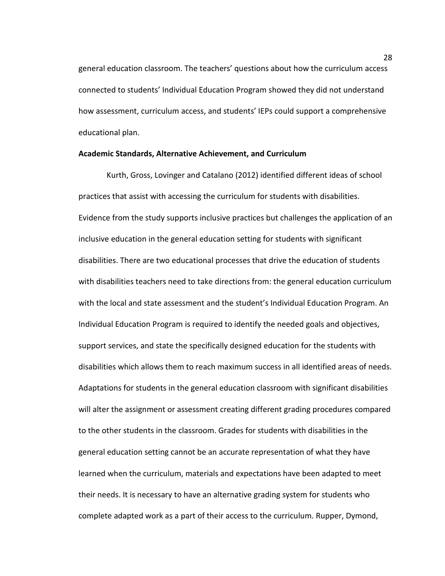general education classroom. The teachers' questions about how the curriculum access connected to students' Individual Education Program showed they did not understand how assessment, curriculum access, and students' IEPs could support a comprehensive educational plan.

#### **Academic Standards, Alternative Achievement, and Curriculum**

Kurth, Gross, Lovinger and Catalano (2012) identified different ideas of school practices that assist with accessing the curriculum for students with disabilities. Evidence from the study supports inclusive practices but challenges the application of an inclusive education in the general education setting for students with significant disabilities. There are two educational processes that drive the education of students with disabilities teachers need to take directions from: the general education curriculum with the local and state assessment and the student's Individual Education Program. An Individual Education Program is required to identify the needed goals and objectives, support services, and state the specifically designed education for the students with disabilities which allows them to reach maximum success in all identified areas of needs. Adaptations for students in the general education classroom with significant disabilities will alter the assignment or assessment creating different grading procedures compared to the other students in the classroom. Grades for students with disabilities in the general education setting cannot be an accurate representation of what they have learned when the curriculum, materials and expectations have been adapted to meet their needs. It is necessary to have an alternative grading system for students who complete adapted work as a part of their access to the curriculum. Rupper, Dymond,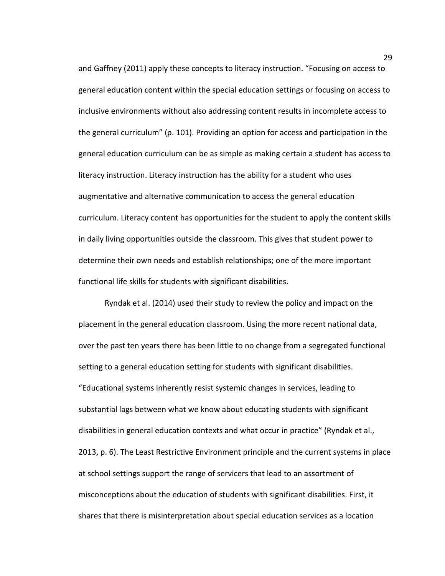and Gaffney (2011) apply these concepts to literacy instruction. "Focusing on access to general education content within the special education settings or focusing on access to inclusive environments without also addressing content results in incomplete access to the general curriculum" (p. 101). Providing an option for access and participation in the general education curriculum can be as simple as making certain a student has access to literacy instruction. Literacy instruction has the ability for a student who uses augmentative and alternative communication to access the general education curriculum. Literacy content has opportunities for the student to apply the content skills in daily living opportunities outside the classroom. This gives that student power to determine their own needs and establish relationships; one of the more important functional life skills for students with significant disabilities.

Ryndak et al. (2014) used their study to review the policy and impact on the placement in the general education classroom. Using the more recent national data, over the past ten years there has been little to no change from a segregated functional setting to a general education setting for students with significant disabilities. "Educational systems inherently resist systemic changes in services, leading to substantial lags between what we know about educating students with significant disabilities in general education contexts and what occur in practice" (Ryndak et al., 2013, p. 6). The Least Restrictive Environment principle and the current systems in place at school settings support the range of servicers that lead to an assortment of misconceptions about the education of students with significant disabilities. First, it shares that there is misinterpretation about special education services as a location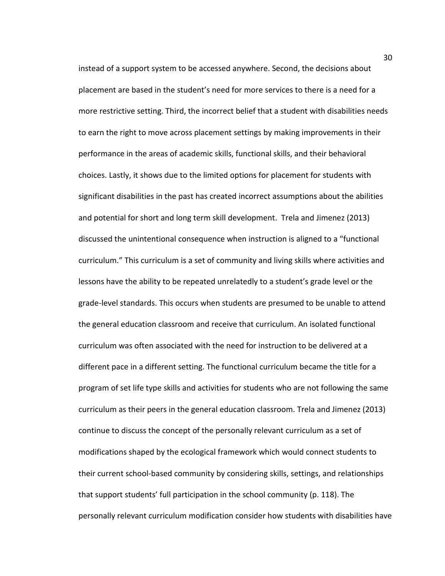instead of a support system to be accessed anywhere. Second, the decisions about placement are based in the student's need for more services to there is a need for a more restrictive setting. Third, the incorrect belief that a student with disabilities needs to earn the right to move across placement settings by making improvements in their performance in the areas of academic skills, functional skills, and their behavioral choices. Lastly, it shows due to the limited options for placement for students with significant disabilities in the past has created incorrect assumptions about the abilities and potential for short and long term skill development. Trela and Jimenez (2013) discussed the unintentional consequence when instruction is aligned to a "functional curriculum." This curriculum is a set of community and living skills where activities and lessons have the ability to be repeated unrelatedly to a student's grade level or the grade-level standards. This occurs when students are presumed to be unable to attend the general education classroom and receive that curriculum. An isolated functional curriculum was often associated with the need for instruction to be delivered at a different pace in a different setting. The functional curriculum became the title for a program of set life type skills and activities for students who are not following the same curriculum as their peers in the general education classroom. Trela and Jimenez (2013) continue to discuss the concept of the personally relevant curriculum as a set of modifications shaped by the ecological framework which would connect students to their current school-based community by considering skills, settings, and relationships that support students' full participation in the school community (p. 118). The personally relevant curriculum modification consider how students with disabilities have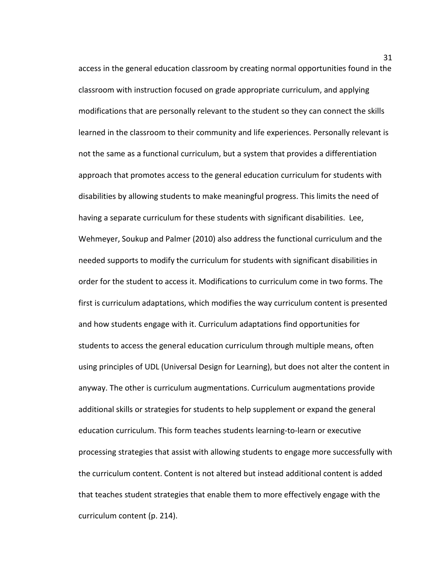access in the general education classroom by creating normal opportunities found in the classroom with instruction focused on grade appropriate curriculum, and applying modifications that are personally relevant to the student so they can connect the skills learned in the classroom to their community and life experiences. Personally relevant is not the same as a functional curriculum, but a system that provides a differentiation approach that promotes access to the general education curriculum for students with disabilities by allowing students to make meaningful progress. This limits the need of having a separate curriculum for these students with significant disabilities. Lee, Wehmeyer, Soukup and Palmer (2010) also address the functional curriculum and the needed supports to modify the curriculum for students with significant disabilities in order for the student to access it. Modifications to curriculum come in two forms. The first is curriculum adaptations, which modifies the way curriculum content is presented and how students engage with it. Curriculum adaptations find opportunities for students to access the general education curriculum through multiple means, often using principles of UDL (Universal Design for Learning), but does not alter the content in anyway. The other is curriculum augmentations. Curriculum augmentations provide additional skills or strategies for students to help supplement or expand the general education curriculum. This form teaches students learning-to-learn or executive processing strategies that assist with allowing students to engage more successfully with the curriculum content. Content is not altered but instead additional content is added that teaches student strategies that enable them to more effectively engage with the curriculum content (p. 214).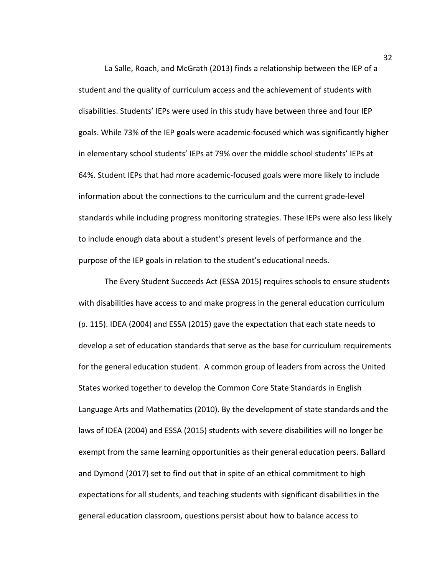La Salle, Roach, and McGrath (2013) finds a relationship between the IEP of a student and the quality of curriculum access and the achievement of students with disabilities. Students' IEPs were used in this study have between three and four IEP goals. While 73% of the IEP goals were academic-focused which was significantly higher in elementary school students' IEPs at 79% over the middle school students' IEPs at 64%. Student IEPs that had more academic-focused goals were more likely to include information about the connections to the curriculum and the current grade-level standards while including progress monitoring strategies. These IEPs were also less likely to include enough data about a student's present levels of performance and the purpose of the IEP goals in relation to the student's educational needs.

The Every Student Succeeds Act (ESSA 2015) requires schools to ensure students with disabilities have access to and make progress in the general education curriculum (p. 115). IDEA (2004) and ESSA (2015) gave the expectation that each state needs to develop a set of education standards that serve as the base for curriculum requirements for the general education student. A common group of leaders from across the United States worked together to develop the Common Core State Standards in English Language Arts and Mathematics (2010). By the development of state standards and the laws of IDEA (2004) and ESSA (2015) students with severe disabilities will no longer be exempt from the same learning opportunities as their general education peers. Ballard and Dymond (2017) set to find out that in spite of an ethical commitment to high expectations for all students, and teaching students with significant disabilities in the general education classroom, questions persist about how to balance access to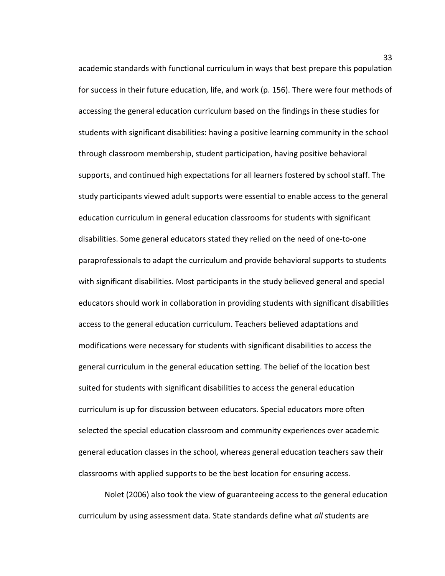academic standards with functional curriculum in ways that best prepare this population for success in their future education, life, and work (p. 156). There were four methods of accessing the general education curriculum based on the findings in these studies for students with significant disabilities: having a positive learning community in the school through classroom membership, student participation, having positive behavioral supports, and continued high expectations for all learners fostered by school staff. The study participants viewed adult supports were essential to enable access to the general education curriculum in general education classrooms for students with significant disabilities. Some general educators stated they relied on the need of one-to-one paraprofessionals to adapt the curriculum and provide behavioral supports to students with significant disabilities. Most participants in the study believed general and special educators should work in collaboration in providing students with significant disabilities access to the general education curriculum. Teachers believed adaptations and modifications were necessary for students with significant disabilities to access the general curriculum in the general education setting. The belief of the location best suited for students with significant disabilities to access the general education curriculum is up for discussion between educators. Special educators more often selected the special education classroom and community experiences over academic general education classes in the school, whereas general education teachers saw their classrooms with applied supports to be the best location for ensuring access.

Nolet (2006) also took the view of guaranteeing access to the general education curriculum by using assessment data. State standards define what *all* students are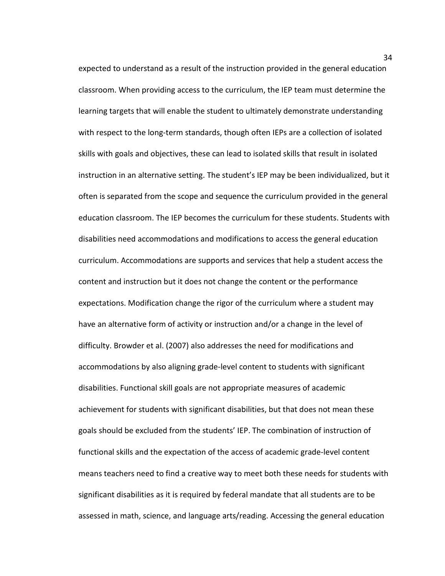expected to understand as a result of the instruction provided in the general education classroom. When providing access to the curriculum, the IEP team must determine the learning targets that will enable the student to ultimately demonstrate understanding with respect to the long-term standards, though often IEPs are a collection of isolated skills with goals and objectives, these can lead to isolated skills that result in isolated instruction in an alternative setting. The student's IEP may be been individualized, but it often is separated from the scope and sequence the curriculum provided in the general education classroom. The IEP becomes the curriculum for these students. Students with disabilities need accommodations and modifications to access the general education curriculum. Accommodations are supports and services that help a student access the content and instruction but it does not change the content or the performance expectations. Modification change the rigor of the curriculum where a student may have an alternative form of activity or instruction and/or a change in the level of difficulty. Browder et al. (2007) also addresses the need for modifications and accommodations by also aligning grade-level content to students with significant disabilities. Functional skill goals are not appropriate measures of academic achievement for students with significant disabilities, but that does not mean these goals should be excluded from the students' IEP. The combination of instruction of functional skills and the expectation of the access of academic grade-level content means teachers need to find a creative way to meet both these needs for students with significant disabilities as it is required by federal mandate that all students are to be assessed in math, science, and language arts/reading. Accessing the general education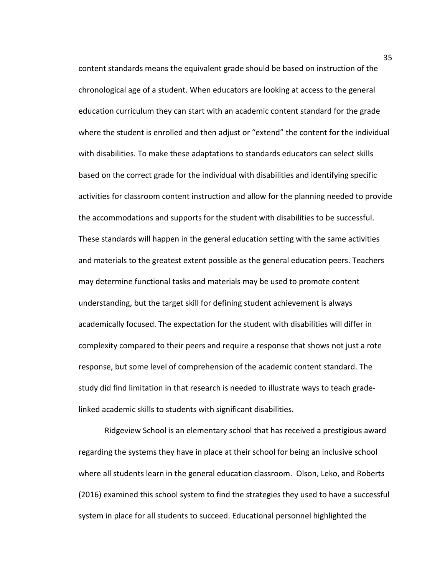content standards means the equivalent grade should be based on instruction of the chronological age of a student. When educators are looking at access to the general education curriculum they can start with an academic content standard for the grade where the student is enrolled and then adjust or "extend" the content for the individual with disabilities. To make these adaptations to standards educators can select skills based on the correct grade for the individual with disabilities and identifying specific activities for classroom content instruction and allow for the planning needed to provide the accommodations and supports for the student with disabilities to be successful. These standards will happen in the general education setting with the same activities and materials to the greatest extent possible as the general education peers. Teachers may determine functional tasks and materials may be used to promote content understanding, but the target skill for defining student achievement is always academically focused. The expectation for the student with disabilities will differ in complexity compared to their peers and require a response that shows not just a rote response, but some level of comprehension of the academic content standard. The study did find limitation in that research is needed to illustrate ways to teach gradelinked academic skills to students with significant disabilities.

Ridgeview School is an elementary school that has received a prestigious award regarding the systems they have in place at their school for being an inclusive school where all students learn in the general education classroom. Olson, Leko, and Roberts (2016) examined this school system to find the strategies they used to have a successful system in place for all students to succeed. Educational personnel highlighted the

35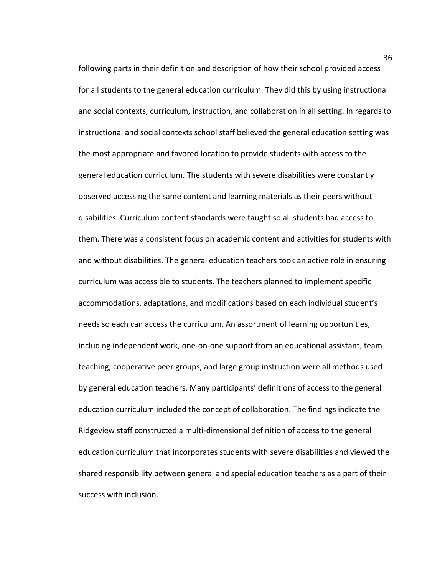following parts in their definition and description of how their school provided access for all students to the general education curriculum. They did this by using instructional and social contexts, curriculum, instruction, and collaboration in all setting. In regards to instructional and social contexts school staff believed the general education setting was the most appropriate and favored location to provide students with access to the general education curriculum. The students with severe disabilities were constantly observed accessing the same content and learning materials as their peers without disabilities. Curriculum content standards were taught so all students had access to them. There was a consistent focus on academic content and activities for students with and without disabilities. The general education teachers took an active role in ensuring curriculum was accessible to students. The teachers planned to implement specific accommodations, adaptations, and modifications based on each individual student's needs so each can access the curriculum. An assortment of learning opportunities, including independent work, one-on-one support from an educational assistant, team teaching, cooperative peer groups, and large group instruction were all methods used by general education teachers. Many participants' definitions of access to the general education curriculum included the concept of collaboration. The findings indicate the Ridgeview staff constructed a multi-dimensional definition of access to the general education curriculum that incorporates students with severe disabilities and viewed the shared responsibility between general and special education teachers as a part of their success with inclusion.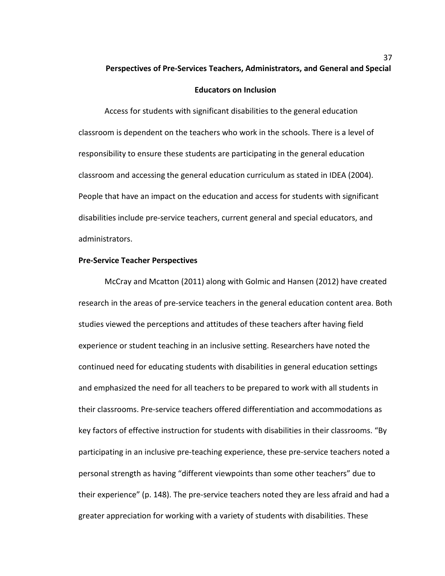# **Perspectives of Pre-Services Teachers, Administrators, and General and Special**

## **Educators on Inclusion**

Access for students with significant disabilities to the general education classroom is dependent on the teachers who work in the schools. There is a level of responsibility to ensure these students are participating in the general education classroom and accessing the general education curriculum as stated in IDEA (2004). People that have an impact on the education and access for students with significant disabilities include pre-service teachers, current general and special educators, and administrators.

### **Pre-Service Teacher Perspectives**

McCray and Mcatton (2011) along with Golmic and Hansen (2012) have created research in the areas of pre-service teachers in the general education content area. Both studies viewed the perceptions and attitudes of these teachers after having field experience or student teaching in an inclusive setting. Researchers have noted the continued need for educating students with disabilities in general education settings and emphasized the need for all teachers to be prepared to work with all students in their classrooms. Pre-service teachers offered differentiation and accommodations as key factors of effective instruction for students with disabilities in their classrooms. "By participating in an inclusive pre-teaching experience, these pre-service teachers noted a personal strength as having "different viewpoints than some other teachers" due to their experience" (p. 148). The pre-service teachers noted they are less afraid and had a greater appreciation for working with a variety of students with disabilities. These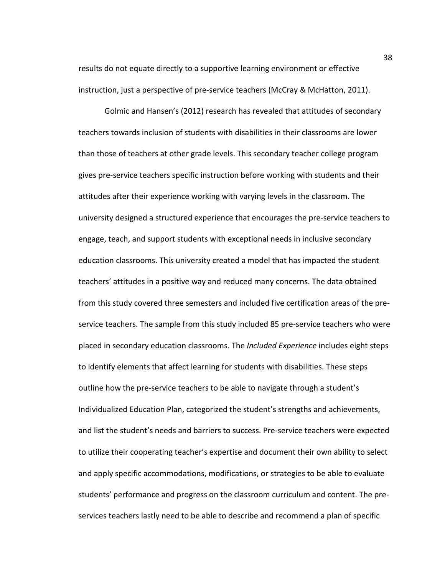results do not equate directly to a supportive learning environment or effective instruction, just a perspective of pre-service teachers (McCray & McHatton, 2011).

Golmic and Hansen's (2012) research has revealed that attitudes of secondary teachers towards inclusion of students with disabilities in their classrooms are lower than those of teachers at other grade levels. This secondary teacher college program gives pre-service teachers specific instruction before working with students and their attitudes after their experience working with varying levels in the classroom. The university designed a structured experience that encourages the pre-service teachers to engage, teach, and support students with exceptional needs in inclusive secondary education classrooms. This university created a model that has impacted the student teachers' attitudes in a positive way and reduced many concerns. The data obtained from this study covered three semesters and included five certification areas of the preservice teachers. The sample from this study included 85 pre-service teachers who were placed in secondary education classrooms. The *Included Experience* includes eight steps to identify elements that affect learning for students with disabilities. These steps outline how the pre-service teachers to be able to navigate through a student's Individualized Education Plan, categorized the student's strengths and achievements, and list the student's needs and barriers to success. Pre-service teachers were expected to utilize their cooperating teacher's expertise and document their own ability to select and apply specific accommodations, modifications, or strategies to be able to evaluate students' performance and progress on the classroom curriculum and content. The preservices teachers lastly need to be able to describe and recommend a plan of specific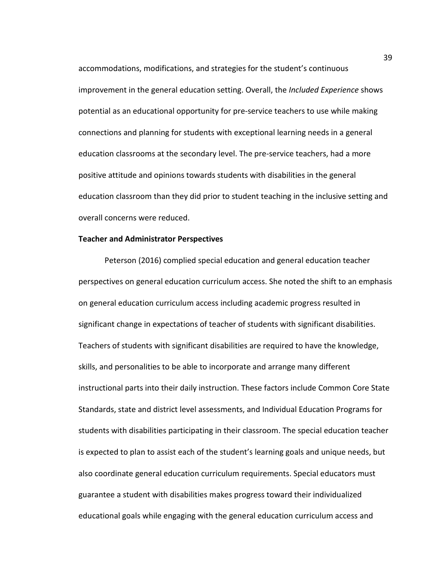accommodations, modifications, and strategies for the student's continuous improvement in the general education setting. Overall, the *Included Experience* shows potential as an educational opportunity for pre-service teachers to use while making connections and planning for students with exceptional learning needs in a general education classrooms at the secondary level. The pre-service teachers, had a more positive attitude and opinions towards students with disabilities in the general education classroom than they did prior to student teaching in the inclusive setting and overall concerns were reduced.

#### **Teacher and Administrator Perspectives**

Peterson (2016) complied special education and general education teacher perspectives on general education curriculum access. She noted the shift to an emphasis on general education curriculum access including academic progress resulted in significant change in expectations of teacher of students with significant disabilities. Teachers of students with significant disabilities are required to have the knowledge, skills, and personalities to be able to incorporate and arrange many different instructional parts into their daily instruction. These factors include Common Core State Standards, state and district level assessments, and Individual Education Programs for students with disabilities participating in their classroom. The special education teacher is expected to plan to assist each of the student's learning goals and unique needs, but also coordinate general education curriculum requirements. Special educators must guarantee a student with disabilities makes progress toward their individualized educational goals while engaging with the general education curriculum access and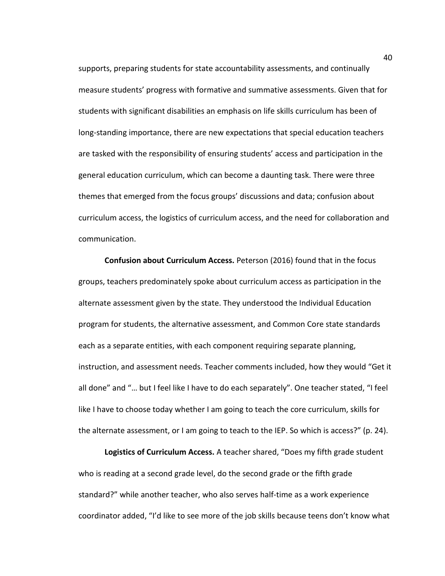supports, preparing students for state accountability assessments, and continually measure students' progress with formative and summative assessments. Given that for students with significant disabilities an emphasis on life skills curriculum has been of long-standing importance, there are new expectations that special education teachers are tasked with the responsibility of ensuring students' access and participation in the general education curriculum, which can become a daunting task. There were three themes that emerged from the focus groups' discussions and data; confusion about curriculum access, the logistics of curriculum access, and the need for collaboration and communication.

**Confusion about Curriculum Access.** Peterson (2016) found that in the focus groups, teachers predominately spoke about curriculum access as participation in the alternate assessment given by the state. They understood the Individual Education program for students, the alternative assessment, and Common Core state standards each as a separate entities, with each component requiring separate planning, instruction, and assessment needs. Teacher comments included, how they would "Get it all done" and "… but I feel like I have to do each separately". One teacher stated, "I feel like I have to choose today whether I am going to teach the core curriculum, skills for the alternate assessment, or I am going to teach to the IEP. So which is access?" (p. 24).

**Logistics of Curriculum Access.** A teacher shared, "Does my fifth grade student who is reading at a second grade level, do the second grade or the fifth grade standard?" while another teacher, who also serves half-time as a work experience coordinator added, "I'd like to see more of the job skills because teens don't know what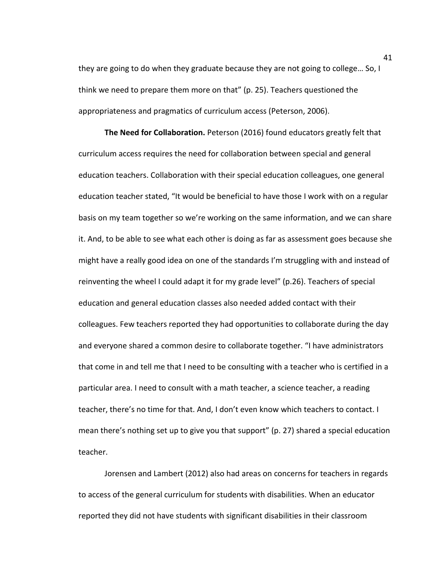they are going to do when they graduate because they are not going to college… So, I think we need to prepare them more on that" (p. 25). Teachers questioned the appropriateness and pragmatics of curriculum access (Peterson, 2006).

**The Need for Collaboration.** Peterson (2016) found educators greatly felt that curriculum access requires the need for collaboration between special and general education teachers. Collaboration with their special education colleagues, one general education teacher stated, "It would be beneficial to have those I work with on a regular basis on my team together so we're working on the same information, and we can share it. And, to be able to see what each other is doing as far as assessment goes because she might have a really good idea on one of the standards I'm struggling with and instead of reinventing the wheel I could adapt it for my grade level" (p.26). Teachers of special education and general education classes also needed added contact with their colleagues. Few teachers reported they had opportunities to collaborate during the day and everyone shared a common desire to collaborate together. "I have administrators that come in and tell me that I need to be consulting with a teacher who is certified in a particular area. I need to consult with a math teacher, a science teacher, a reading teacher, there's no time for that. And, I don't even know which teachers to contact. I mean there's nothing set up to give you that support" (p. 27) shared a special education teacher.

Jorensen and Lambert (2012) also had areas on concerns for teachers in regards to access of the general curriculum for students with disabilities. When an educator reported they did not have students with significant disabilities in their classroom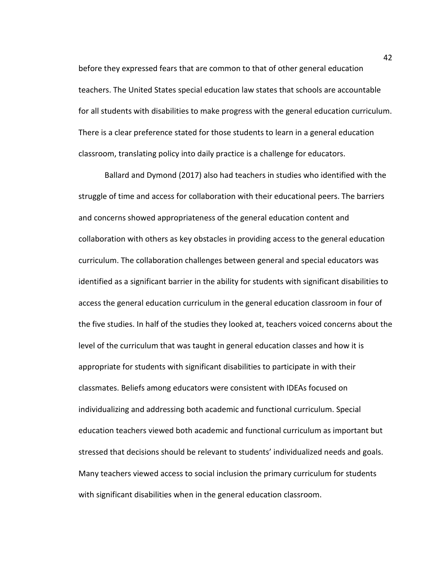before they expressed fears that are common to that of other general education teachers. The United States special education law states that schools are accountable for all students with disabilities to make progress with the general education curriculum. There is a clear preference stated for those students to learn in a general education classroom, translating policy into daily practice is a challenge for educators.

Ballard and Dymond (2017) also had teachers in studies who identified with the struggle of time and access for collaboration with their educational peers. The barriers and concerns showed appropriateness of the general education content and collaboration with others as key obstacles in providing access to the general education curriculum. The collaboration challenges between general and special educators was identified as a significant barrier in the ability for students with significant disabilities to access the general education curriculum in the general education classroom in four of the five studies. In half of the studies they looked at, teachers voiced concerns about the level of the curriculum that was taught in general education classes and how it is appropriate for students with significant disabilities to participate in with their classmates. Beliefs among educators were consistent with IDEAs focused on individualizing and addressing both academic and functional curriculum. Special education teachers viewed both academic and functional curriculum as important but stressed that decisions should be relevant to students' individualized needs and goals. Many teachers viewed access to social inclusion the primary curriculum for students with significant disabilities when in the general education classroom.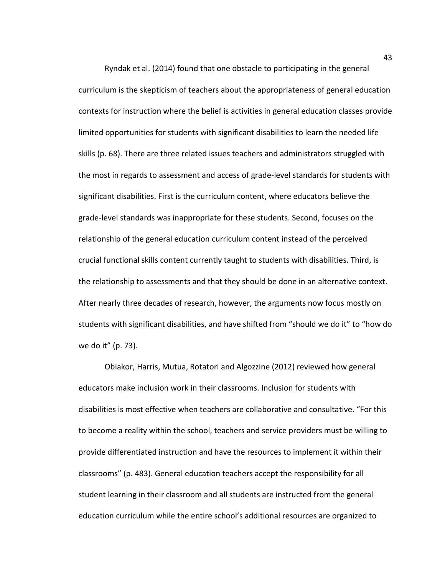Ryndak et al. (2014) found that one obstacle to participating in the general curriculum is the skepticism of teachers about the appropriateness of general education contexts for instruction where the belief is activities in general education classes provide limited opportunities for students with significant disabilities to learn the needed life skills (p. 68). There are three related issues teachers and administrators struggled with the most in regards to assessment and access of grade-level standards for students with significant disabilities. First is the curriculum content, where educators believe the grade-level standards was inappropriate for these students. Second, focuses on the relationship of the general education curriculum content instead of the perceived crucial functional skills content currently taught to students with disabilities. Third, is the relationship to assessments and that they should be done in an alternative context. After nearly three decades of research, however, the arguments now focus mostly on students with significant disabilities, and have shifted from "should we do it" to "how do we do it" (p. 73).

Obiakor, Harris, Mutua, Rotatori and Algozzine (2012) reviewed how general educators make inclusion work in their classrooms. Inclusion for students with disabilities is most effective when teachers are collaborative and consultative. "For this to become a reality within the school, teachers and service providers must be willing to provide differentiated instruction and have the resources to implement it within their classrooms" (p. 483). General education teachers accept the responsibility for all student learning in their classroom and all students are instructed from the general education curriculum while the entire school's additional resources are organized to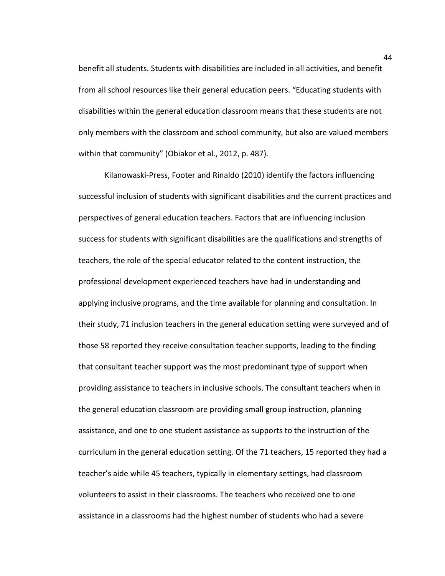benefit all students. Students with disabilities are included in all activities, and benefit from all school resources like their general education peers. "Educating students with disabilities within the general education classroom means that these students are not only members with the classroom and school community, but also are valued members within that community" (Obiakor et al., 2012, p. 487).

Kilanowaski-Press, Footer and Rinaldo (2010) identify the factors influencing successful inclusion of students with significant disabilities and the current practices and perspectives of general education teachers. Factors that are influencing inclusion success for students with significant disabilities are the qualifications and strengths of teachers, the role of the special educator related to the content instruction, the professional development experienced teachers have had in understanding and applying inclusive programs, and the time available for planning and consultation. In their study, 71 inclusion teachers in the general education setting were surveyed and of those 58 reported they receive consultation teacher supports, leading to the finding that consultant teacher support was the most predominant type of support when providing assistance to teachers in inclusive schools. The consultant teachers when in the general education classroom are providing small group instruction, planning assistance, and one to one student assistance as supports to the instruction of the curriculum in the general education setting. Of the 71 teachers, 15 reported they had a teacher's aide while 45 teachers, typically in elementary settings, had classroom volunteers to assist in their classrooms. The teachers who received one to one assistance in a classrooms had the highest number of students who had a severe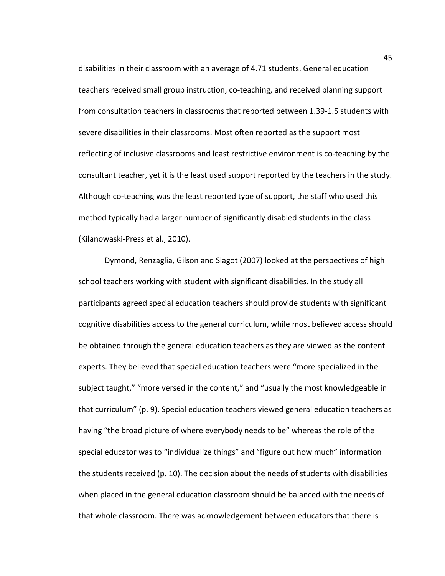disabilities in their classroom with an average of 4.71 students. General education teachers received small group instruction, co-teaching, and received planning support from consultation teachers in classrooms that reported between 1.39-1.5 students with severe disabilities in their classrooms. Most often reported as the support most reflecting of inclusive classrooms and least restrictive environment is co-teaching by the consultant teacher, yet it is the least used support reported by the teachers in the study. Although co-teaching was the least reported type of support, the staff who used this method typically had a larger number of significantly disabled students in the class (Kilanowaski-Press et al., 2010).

Dymond, Renzaglia, Gilson and Slagot (2007) looked at the perspectives of high school teachers working with student with significant disabilities. In the study all participants agreed special education teachers should provide students with significant cognitive disabilities access to the general curriculum, while most believed access should be obtained through the general education teachers as they are viewed as the content experts. They believed that special education teachers were "more specialized in the subject taught," "more versed in the content," and "usually the most knowledgeable in that curriculum" (p. 9). Special education teachers viewed general education teachers as having "the broad picture of where everybody needs to be" whereas the role of the special educator was to "individualize things" and "figure out how much" information the students received (p. 10). The decision about the needs of students with disabilities when placed in the general education classroom should be balanced with the needs of that whole classroom. There was acknowledgement between educators that there is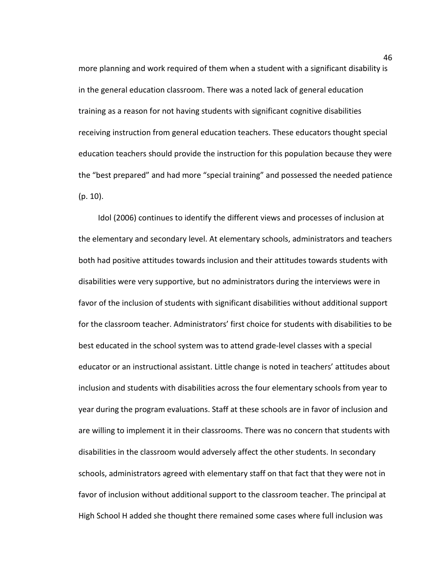more planning and work required of them when a student with a significant disability is in the general education classroom. There was a noted lack of general education training as a reason for not having students with significant cognitive disabilities receiving instruction from general education teachers. These educators thought special education teachers should provide the instruction for this population because they were the "best prepared" and had more "special training" and possessed the needed patience (p. 10).

Idol (2006) continues to identify the different views and processes of inclusion at the elementary and secondary level. At elementary schools, administrators and teachers both had positive attitudes towards inclusion and their attitudes towards students with disabilities were very supportive, but no administrators during the interviews were in favor of the inclusion of students with significant disabilities without additional support for the classroom teacher. Administrators' first choice for students with disabilities to be best educated in the school system was to attend grade-level classes with a special educator or an instructional assistant. Little change is noted in teachers' attitudes about inclusion and students with disabilities across the four elementary schools from year to year during the program evaluations. Staff at these schools are in favor of inclusion and are willing to implement it in their classrooms. There was no concern that students with disabilities in the classroom would adversely affect the other students. In secondary schools, administrators agreed with elementary staff on that fact that they were not in favor of inclusion without additional support to the classroom teacher. The principal at High School H added she thought there remained some cases where full inclusion was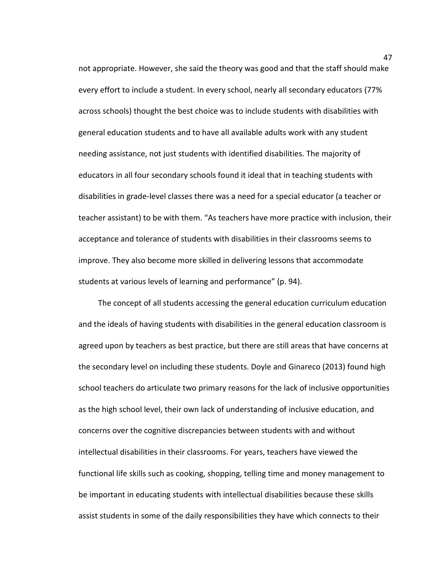not appropriate. However, she said the theory was good and that the staff should make every effort to include a student. In every school, nearly all secondary educators (77% across schools) thought the best choice was to include students with disabilities with general education students and to have all available adults work with any student needing assistance, not just students with identified disabilities. The majority of educators in all four secondary schools found it ideal that in teaching students with disabilities in grade-level classes there was a need for a special educator (a teacher or teacher assistant) to be with them. "As teachers have more practice with inclusion, their acceptance and tolerance of students with disabilities in their classrooms seems to improve. They also become more skilled in delivering lessons that accommodate students at various levels of learning and performance" (p. 94).

The concept of all students accessing the general education curriculum education and the ideals of having students with disabilities in the general education classroom is agreed upon by teachers as best practice, but there are still areas that have concerns at the secondary level on including these students. Doyle and Ginareco (2013) found high school teachers do articulate two primary reasons for the lack of inclusive opportunities as the high school level, their own lack of understanding of inclusive education, and concerns over the cognitive discrepancies between students with and without intellectual disabilities in their classrooms. For years, teachers have viewed the functional life skills such as cooking, shopping, telling time and money management to be important in educating students with intellectual disabilities because these skills assist students in some of the daily responsibilities they have which connects to their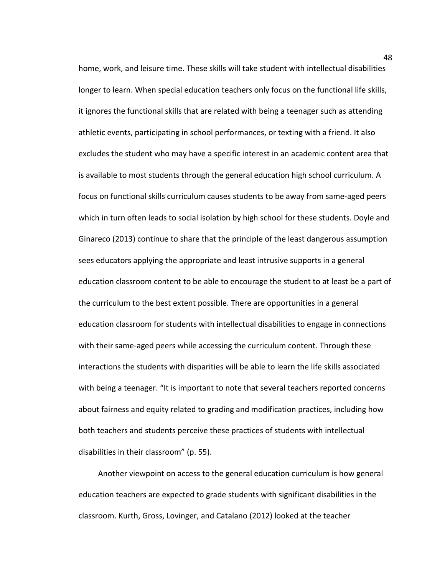home, work, and leisure time. These skills will take student with intellectual disabilities longer to learn. When special education teachers only focus on the functional life skills, it ignores the functional skills that are related with being a teenager such as attending athletic events, participating in school performances, or texting with a friend. It also excludes the student who may have a specific interest in an academic content area that is available to most students through the general education high school curriculum. A focus on functional skills curriculum causes students to be away from same-aged peers which in turn often leads to social isolation by high school for these students. Doyle and Ginareco (2013) continue to share that the principle of the least dangerous assumption sees educators applying the appropriate and least intrusive supports in a general education classroom content to be able to encourage the student to at least be a part of the curriculum to the best extent possible. There are opportunities in a general education classroom for students with intellectual disabilities to engage in connections with their same-aged peers while accessing the curriculum content. Through these interactions the students with disparities will be able to learn the life skills associated with being a teenager. "It is important to note that several teachers reported concerns about fairness and equity related to grading and modification practices, including how both teachers and students perceive these practices of students with intellectual disabilities in their classroom" (p. 55).

Another viewpoint on access to the general education curriculum is how general education teachers are expected to grade students with significant disabilities in the classroom. Kurth, Gross, Lovinger, and Catalano (2012) looked at the teacher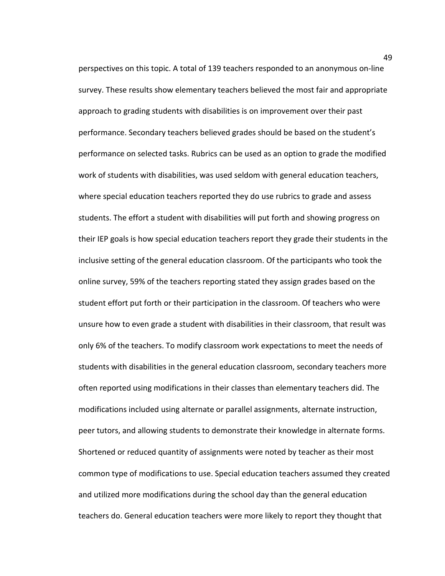perspectives on this topic. A total of 139 teachers responded to an anonymous on-line survey. These results show elementary teachers believed the most fair and appropriate approach to grading students with disabilities is on improvement over their past performance. Secondary teachers believed grades should be based on the student's performance on selected tasks. Rubrics can be used as an option to grade the modified work of students with disabilities, was used seldom with general education teachers, where special education teachers reported they do use rubrics to grade and assess students. The effort a student with disabilities will put forth and showing progress on their IEP goals is how special education teachers report they grade their students in the inclusive setting of the general education classroom. Of the participants who took the online survey, 59% of the teachers reporting stated they assign grades based on the student effort put forth or their participation in the classroom. Of teachers who were unsure how to even grade a student with disabilities in their classroom, that result was only 6% of the teachers. To modify classroom work expectations to meet the needs of students with disabilities in the general education classroom, secondary teachers more often reported using modifications in their classes than elementary teachers did. The modifications included using alternate or parallel assignments, alternate instruction, peer tutors, and allowing students to demonstrate their knowledge in alternate forms. Shortened or reduced quantity of assignments were noted by teacher as their most common type of modifications to use. Special education teachers assumed they created and utilized more modifications during the school day than the general education teachers do. General education teachers were more likely to report they thought that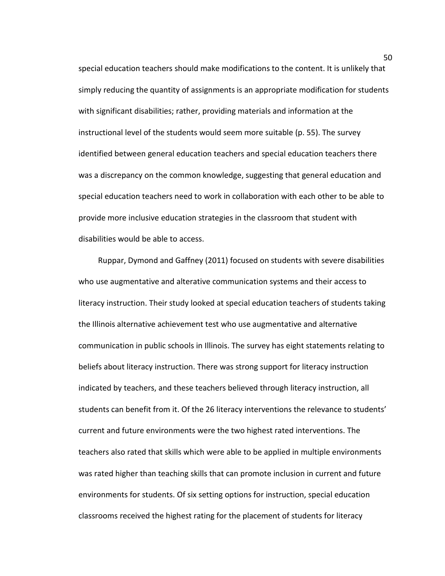special education teachers should make modifications to the content. It is unlikely that simply reducing the quantity of assignments is an appropriate modification for students with significant disabilities; rather, providing materials and information at the instructional level of the students would seem more suitable (p. 55). The survey identified between general education teachers and special education teachers there was a discrepancy on the common knowledge, suggesting that general education and special education teachers need to work in collaboration with each other to be able to provide more inclusive education strategies in the classroom that student with disabilities would be able to access.

Ruppar, Dymond and Gaffney (2011) focused on students with severe disabilities who use augmentative and alterative communication systems and their access to literacy instruction. Their study looked at special education teachers of students taking the Illinois alternative achievement test who use augmentative and alternative communication in public schools in Illinois. The survey has eight statements relating to beliefs about literacy instruction. There was strong support for literacy instruction indicated by teachers, and these teachers believed through literacy instruction, all students can benefit from it. Of the 26 literacy interventions the relevance to students' current and future environments were the two highest rated interventions. The teachers also rated that skills which were able to be applied in multiple environments was rated higher than teaching skills that can promote inclusion in current and future environments for students. Of six setting options for instruction, special education classrooms received the highest rating for the placement of students for literacy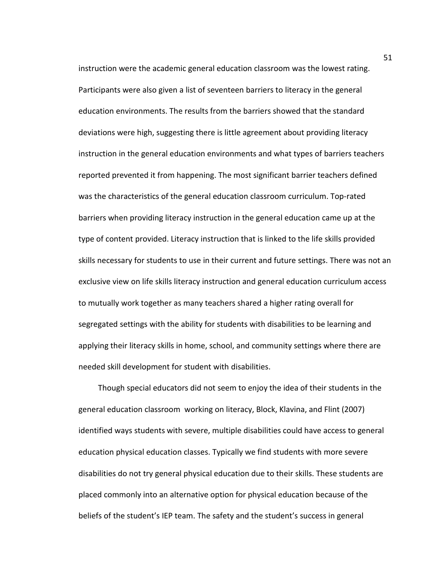instruction were the academic general education classroom was the lowest rating. Participants were also given a list of seventeen barriers to literacy in the general education environments. The results from the barriers showed that the standard deviations were high, suggesting there is little agreement about providing literacy instruction in the general education environments and what types of barriers teachers reported prevented it from happening. The most significant barrier teachers defined was the characteristics of the general education classroom curriculum. Top-rated barriers when providing literacy instruction in the general education came up at the type of content provided. Literacy instruction that is linked to the life skills provided skills necessary for students to use in their current and future settings. There was not an exclusive view on life skills literacy instruction and general education curriculum access to mutually work together as many teachers shared a higher rating overall for segregated settings with the ability for students with disabilities to be learning and applying their literacy skills in home, school, and community settings where there are needed skill development for student with disabilities.

Though special educators did not seem to enjoy the idea of their students in the general education classroom working on literacy, Block, Klavina, and Flint (2007) identified ways students with severe, multiple disabilities could have access to general education physical education classes. Typically we find students with more severe disabilities do not try general physical education due to their skills. These students are placed commonly into an alternative option for physical education because of the beliefs of the student's IEP team. The safety and the student's success in general

51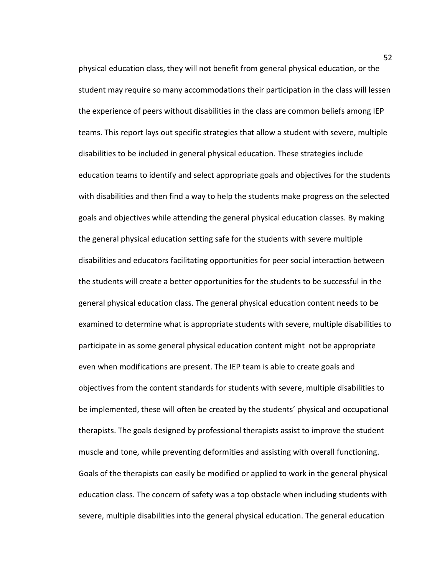physical education class, they will not benefit from general physical education, or the student may require so many accommodations their participation in the class will lessen the experience of peers without disabilities in the class are common beliefs among IEP teams. This report lays out specific strategies that allow a student with severe, multiple disabilities to be included in general physical education. These strategies include education teams to identify and select appropriate goals and objectives for the students with disabilities and then find a way to help the students make progress on the selected goals and objectives while attending the general physical education classes. By making the general physical education setting safe for the students with severe multiple disabilities and educators facilitating opportunities for peer social interaction between the students will create a better opportunities for the students to be successful in the general physical education class. The general physical education content needs to be examined to determine what is appropriate students with severe, multiple disabilities to participate in as some general physical education content might not be appropriate even when modifications are present. The IEP team is able to create goals and objectives from the content standards for students with severe, multiple disabilities to be implemented, these will often be created by the students' physical and occupational therapists. The goals designed by professional therapists assist to improve the student muscle and tone, while preventing deformities and assisting with overall functioning. Goals of the therapists can easily be modified or applied to work in the general physical education class. The concern of safety was a top obstacle when including students with severe, multiple disabilities into the general physical education. The general education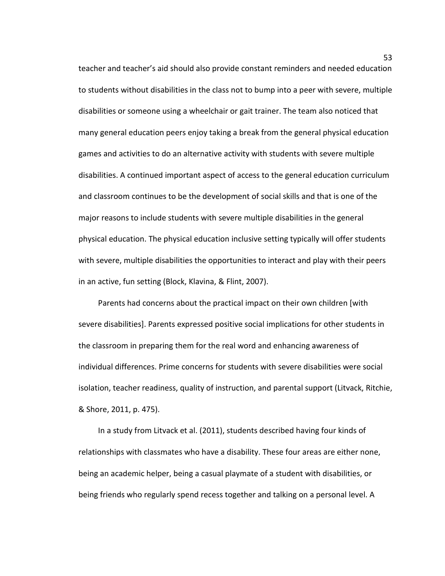teacher and teacher's aid should also provide constant reminders and needed education to students without disabilities in the class not to bump into a peer with severe, multiple disabilities or someone using a wheelchair or gait trainer. The team also noticed that many general education peers enjoy taking a break from the general physical education games and activities to do an alternative activity with students with severe multiple disabilities. A continued important aspect of access to the general education curriculum and classroom continues to be the development of social skills and that is one of the major reasons to include students with severe multiple disabilities in the general physical education. The physical education inclusive setting typically will offer students with severe, multiple disabilities the opportunities to interact and play with their peers in an active, fun setting (Block, Klavina, & Flint, 2007).

Parents had concerns about the practical impact on their own children [with severe disabilities]. Parents expressed positive social implications for other students in the classroom in preparing them for the real word and enhancing awareness of individual differences. Prime concerns for students with severe disabilities were social isolation, teacher readiness, quality of instruction, and parental support (Litvack, Ritchie, & Shore, 2011, p. 475).

In a study from Litvack et al. (2011), students described having four kinds of relationships with classmates who have a disability. These four areas are either none, being an academic helper, being a casual playmate of a student with disabilities, or being friends who regularly spend recess together and talking on a personal level. A

53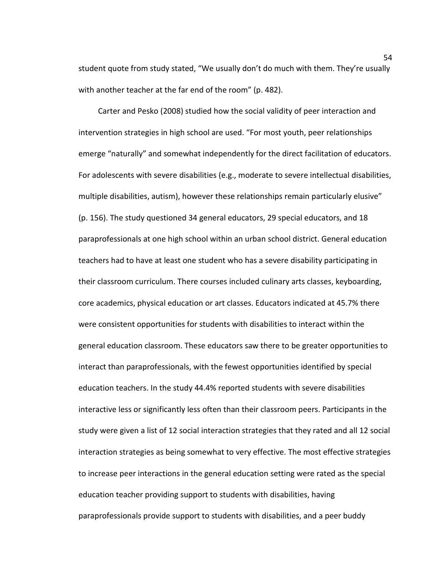student quote from study stated, "We usually don't do much with them. They're usually with another teacher at the far end of the room" (p. 482).

Carter and Pesko (2008) studied how the social validity of peer interaction and intervention strategies in high school are used. "For most youth, peer relationships emerge "naturally" and somewhat independently for the direct facilitation of educators. For adolescents with severe disabilities (e.g., moderate to severe intellectual disabilities, multiple disabilities, autism), however these relationships remain particularly elusive" (p. 156). The study questioned 34 general educators, 29 special educators, and 18 paraprofessionals at one high school within an urban school district. General education teachers had to have at least one student who has a severe disability participating in their classroom curriculum. There courses included culinary arts classes, keyboarding, core academics, physical education or art classes. Educators indicated at 45.7% there were consistent opportunities for students with disabilities to interact within the general education classroom. These educators saw there to be greater opportunities to interact than paraprofessionals, with the fewest opportunities identified by special education teachers. In the study 44.4% reported students with severe disabilities interactive less or significantly less often than their classroom peers. Participants in the study were given a list of 12 social interaction strategies that they rated and all 12 social interaction strategies as being somewhat to very effective. The most effective strategies to increase peer interactions in the general education setting were rated as the special education teacher providing support to students with disabilities, having paraprofessionals provide support to students with disabilities, and a peer buddy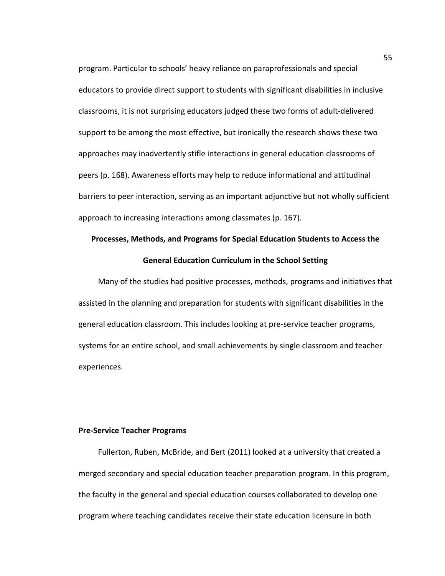program. Particular to schools' heavy reliance on paraprofessionals and special educators to provide direct support to students with significant disabilities in inclusive classrooms, it is not surprising educators judged these two forms of adult-delivered support to be among the most effective, but ironically the research shows these two approaches may inadvertently stifle interactions in general education classrooms of peers (p. 168). Awareness efforts may help to reduce informational and attitudinal barriers to peer interaction, serving as an important adjunctive but not wholly sufficient approach to increasing interactions among classmates (p. 167).

# **Processes, Methods, and Programs for Special Education Students to Access the General Education Curriculum in the School Setting**

Many of the studies had positive processes, methods, programs and initiatives that assisted in the planning and preparation for students with significant disabilities in the general education classroom. This includes looking at pre-service teacher programs, systems for an entire school, and small achievements by single classroom and teacher experiences.

#### **Pre-Service Teacher Programs**

Fullerton, Ruben, McBride, and Bert (2011) looked at a university that created a merged secondary and special education teacher preparation program. In this program, the faculty in the general and special education courses collaborated to develop one program where teaching candidates receive their state education licensure in both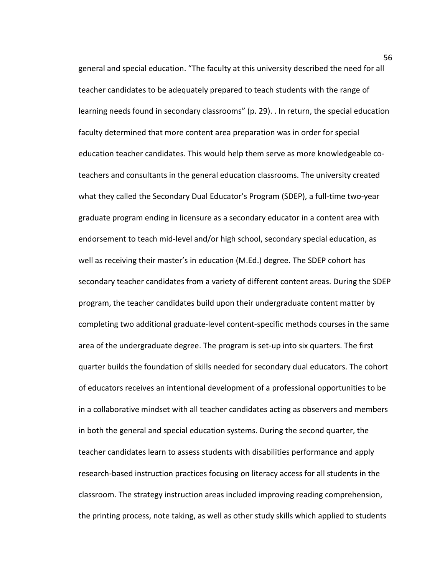general and special education. "The faculty at this university described the need for all teacher candidates to be adequately prepared to teach students with the range of learning needs found in secondary classrooms" (p. 29). . In return, the special education faculty determined that more content area preparation was in order for special education teacher candidates. This would help them serve as more knowledgeable coteachers and consultants in the general education classrooms. The university created what they called the Secondary Dual Educator's Program (SDEP), a full-time two-year graduate program ending in licensure as a secondary educator in a content area with endorsement to teach mid-level and/or high school, secondary special education, as well as receiving their master's in education (M.Ed.) degree. The SDEP cohort has secondary teacher candidates from a variety of different content areas. During the SDEP program, the teacher candidates build upon their undergraduate content matter by completing two additional graduate-level content-specific methods courses in the same area of the undergraduate degree. The program is set-up into six quarters. The first quarter builds the foundation of skills needed for secondary dual educators. The cohort of educators receives an intentional development of a professional opportunities to be in a collaborative mindset with all teacher candidates acting as observers and members in both the general and special education systems. During the second quarter, the teacher candidates learn to assess students with disabilities performance and apply research-based instruction practices focusing on literacy access for all students in the classroom. The strategy instruction areas included improving reading comprehension, the printing process, note taking, as well as other study skills which applied to students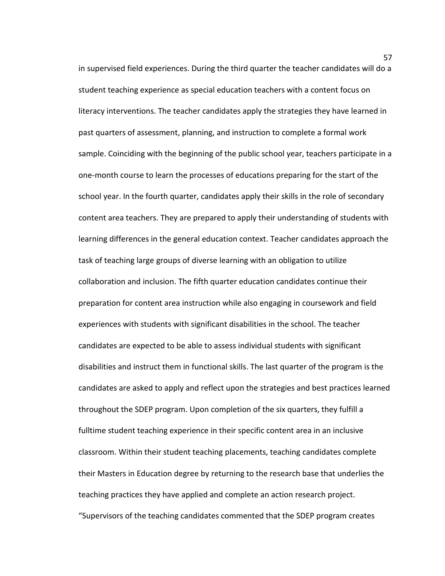in supervised field experiences. During the third quarter the teacher candidates will do a student teaching experience as special education teachers with a content focus on literacy interventions. The teacher candidates apply the strategies they have learned in past quarters of assessment, planning, and instruction to complete a formal work sample. Coinciding with the beginning of the public school year, teachers participate in a one-month course to learn the processes of educations preparing for the start of the school year. In the fourth quarter, candidates apply their skills in the role of secondary content area teachers. They are prepared to apply their understanding of students with learning differences in the general education context. Teacher candidates approach the task of teaching large groups of diverse learning with an obligation to utilize collaboration and inclusion. The fifth quarter education candidates continue their preparation for content area instruction while also engaging in coursework and field experiences with students with significant disabilities in the school. The teacher candidates are expected to be able to assess individual students with significant disabilities and instruct them in functional skills. The last quarter of the program is the candidates are asked to apply and reflect upon the strategies and best practices learned throughout the SDEP program. Upon completion of the six quarters, they fulfill a fulltime student teaching experience in their specific content area in an inclusive classroom. Within their student teaching placements, teaching candidates complete their Masters in Education degree by returning to the research base that underlies the teaching practices they have applied and complete an action research project. "Supervisors of the teaching candidates commented that the SDEP program creates

57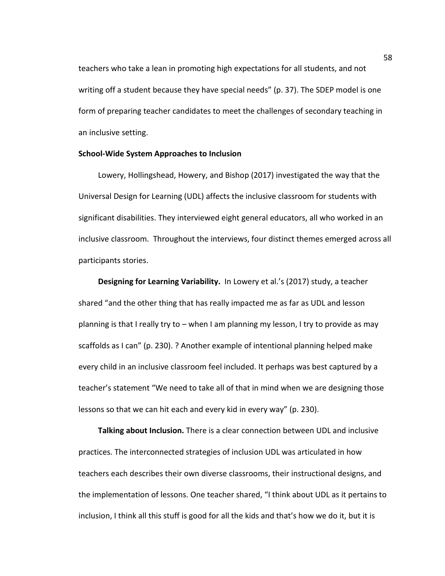teachers who take a lean in promoting high expectations for all students, and not writing off a student because they have special needs" (p. 37). The SDEP model is one form of preparing teacher candidates to meet the challenges of secondary teaching in an inclusive setting.

#### **School-Wide System Approaches to Inclusion**

Lowery, Hollingshead, Howery, and Bishop (2017) investigated the way that the Universal Design for Learning (UDL) affects the inclusive classroom for students with significant disabilities. They interviewed eight general educators, all who worked in an inclusive classroom. Throughout the interviews, four distinct themes emerged across all participants stories.

**Designing for Learning Variability.** In Lowery et al.'s (2017) study, a teacher shared "and the other thing that has really impacted me as far as UDL and lesson planning is that I really try to – when I am planning my lesson, I try to provide as may scaffolds as I can" (p. 230). ? Another example of intentional planning helped make every child in an inclusive classroom feel included. It perhaps was best captured by a teacher's statement "We need to take all of that in mind when we are designing those lessons so that we can hit each and every kid in every way" (p. 230).

**Talking about Inclusion.** There is a clear connection between UDL and inclusive practices. The interconnected strategies of inclusion UDL was articulated in how teachers each describes their own diverse classrooms, their instructional designs, and the implementation of lessons. One teacher shared, "I think about UDL as it pertains to inclusion, I think all this stuff is good for all the kids and that's how we do it, but it is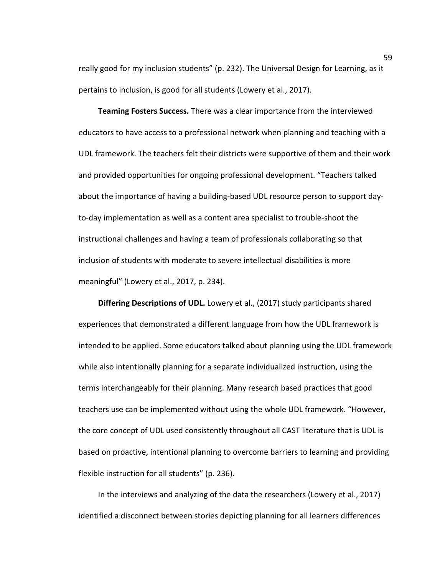really good for my inclusion students" (p. 232). The Universal Design for Learning, as it pertains to inclusion, is good for all students (Lowery et al., 2017).

**Teaming Fosters Success.** There was a clear importance from the interviewed educators to have access to a professional network when planning and teaching with a UDL framework. The teachers felt their districts were supportive of them and their work and provided opportunities for ongoing professional development. "Teachers talked about the importance of having a building-based UDL resource person to support dayto-day implementation as well as a content area specialist to trouble-shoot the instructional challenges and having a team of professionals collaborating so that inclusion of students with moderate to severe intellectual disabilities is more meaningful" (Lowery et al., 2017, p. 234).

**Differing Descriptions of UDL.** Lowery et al., (2017) study participants shared experiences that demonstrated a different language from how the UDL framework is intended to be applied. Some educators talked about planning using the UDL framework while also intentionally planning for a separate individualized instruction, using the terms interchangeably for their planning. Many research based practices that good teachers use can be implemented without using the whole UDL framework. "However, the core concept of UDL used consistently throughout all CAST literature that is UDL is based on proactive, intentional planning to overcome barriers to learning and providing flexible instruction for all students" (p. 236).

In the interviews and analyzing of the data the researchers (Lowery et al., 2017) identified a disconnect between stories depicting planning for all learners differences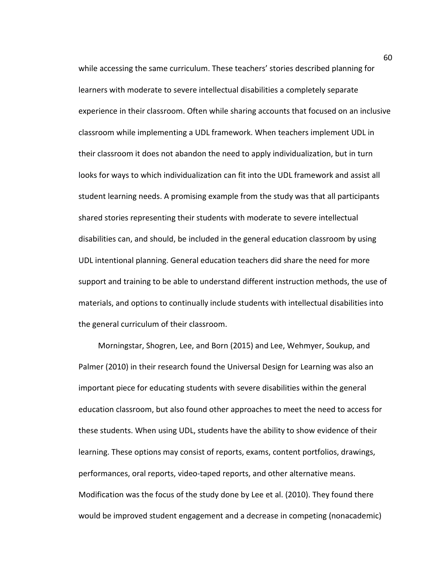while accessing the same curriculum. These teachers' stories described planning for learners with moderate to severe intellectual disabilities a completely separate experience in their classroom. Often while sharing accounts that focused on an inclusive classroom while implementing a UDL framework. When teachers implement UDL in their classroom it does not abandon the need to apply individualization, but in turn looks for ways to which individualization can fit into the UDL framework and assist all student learning needs. A promising example from the study was that all participants shared stories representing their students with moderate to severe intellectual disabilities can, and should, be included in the general education classroom by using UDL intentional planning. General education teachers did share the need for more support and training to be able to understand different instruction methods, the use of materials, and options to continually include students with intellectual disabilities into the general curriculum of their classroom.

Morningstar, Shogren, Lee, and Born (2015) and Lee, Wehmyer, Soukup, and Palmer (2010) in their research found the Universal Design for Learning was also an important piece for educating students with severe disabilities within the general education classroom, but also found other approaches to meet the need to access for these students. When using UDL, students have the ability to show evidence of their learning. These options may consist of reports, exams, content portfolios, drawings, performances, oral reports, video-taped reports, and other alternative means. Modification was the focus of the study done by Lee et al. (2010). They found there would be improved student engagement and a decrease in competing (nonacademic)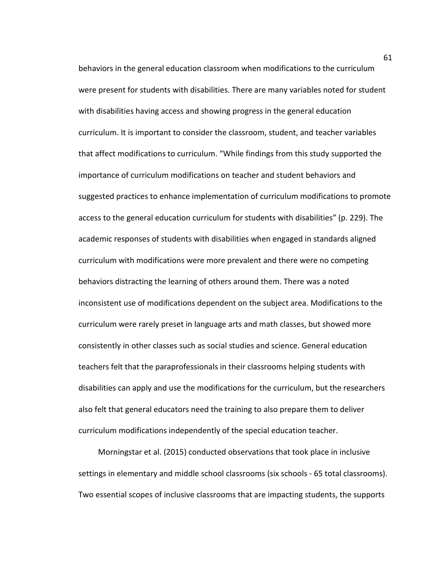behaviors in the general education classroom when modifications to the curriculum were present for students with disabilities. There are many variables noted for student with disabilities having access and showing progress in the general education curriculum. It is important to consider the classroom, student, and teacher variables that affect modifications to curriculum. "While findings from this study supported the importance of curriculum modifications on teacher and student behaviors and suggested practices to enhance implementation of curriculum modifications to promote access to the general education curriculum for students with disabilities" (p. 229). The academic responses of students with disabilities when engaged in standards aligned curriculum with modifications were more prevalent and there were no competing behaviors distracting the learning of others around them. There was a noted inconsistent use of modifications dependent on the subject area. Modifications to the curriculum were rarely preset in language arts and math classes, but showed more consistently in other classes such as social studies and science. General education teachers felt that the paraprofessionals in their classrooms helping students with disabilities can apply and use the modifications for the curriculum, but the researchers also felt that general educators need the training to also prepare them to deliver curriculum modifications independently of the special education teacher.

Morningstar et al. (2015) conducted observations that took place in inclusive settings in elementary and middle school classrooms (six schools - 65 total classrooms). Two essential scopes of inclusive classrooms that are impacting students, the supports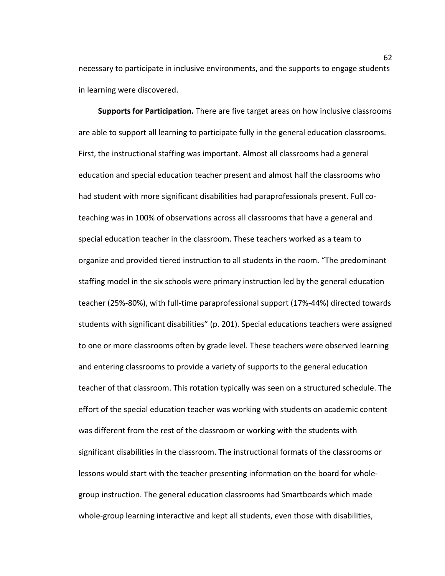necessary to participate in inclusive environments, and the supports to engage students in learning were discovered.

**Supports for Participation.** There are five target areas on how inclusive classrooms are able to support all learning to participate fully in the general education classrooms. First, the instructional staffing was important. Almost all classrooms had a general education and special education teacher present and almost half the classrooms who had student with more significant disabilities had paraprofessionals present. Full coteaching was in 100% of observations across all classrooms that have a general and special education teacher in the classroom. These teachers worked as a team to organize and provided tiered instruction to all students in the room. "The predominant staffing model in the six schools were primary instruction led by the general education teacher (25%-80%), with full-time paraprofessional support (17%-44%) directed towards students with significant disabilities" (p. 201). Special educations teachers were assigned to one or more classrooms often by grade level. These teachers were observed learning and entering classrooms to provide a variety of supports to the general education teacher of that classroom. This rotation typically was seen on a structured schedule. The effort of the special education teacher was working with students on academic content was different from the rest of the classroom or working with the students with significant disabilities in the classroom. The instructional formats of the classrooms or lessons would start with the teacher presenting information on the board for wholegroup instruction. The general education classrooms had Smartboards which made whole-group learning interactive and kept all students, even those with disabilities,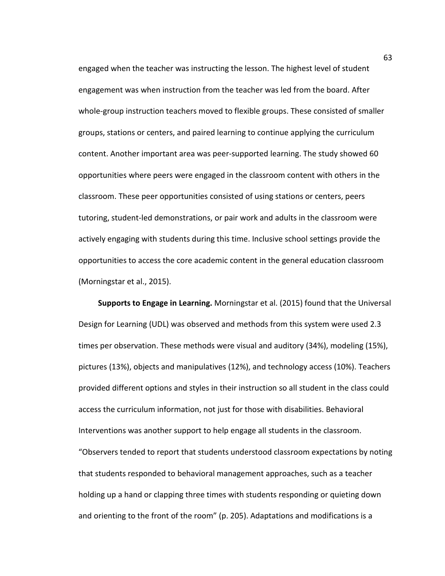engaged when the teacher was instructing the lesson. The highest level of student engagement was when instruction from the teacher was led from the board. After whole-group instruction teachers moved to flexible groups. These consisted of smaller groups, stations or centers, and paired learning to continue applying the curriculum content. Another important area was peer-supported learning. The study showed 60 opportunities where peers were engaged in the classroom content with others in the classroom. These peer opportunities consisted of using stations or centers, peers tutoring, student-led demonstrations, or pair work and adults in the classroom were actively engaging with students during this time. Inclusive school settings provide the opportunities to access the core academic content in the general education classroom (Morningstar et al., 2015).

**Supports to Engage in Learning.** Morningstar et al. (2015) found that the Universal Design for Learning (UDL) was observed and methods from this system were used 2.3 times per observation. These methods were visual and auditory (34%), modeling (15%), pictures (13%), objects and manipulatives (12%), and technology access (10%). Teachers provided different options and styles in their instruction so all student in the class could access the curriculum information, not just for those with disabilities. Behavioral Interventions was another support to help engage all students in the classroom. "Observers tended to report that students understood classroom expectations by noting that students responded to behavioral management approaches, such as a teacher holding up a hand or clapping three times with students responding or quieting down and orienting to the front of the room" (p. 205). Adaptations and modifications is a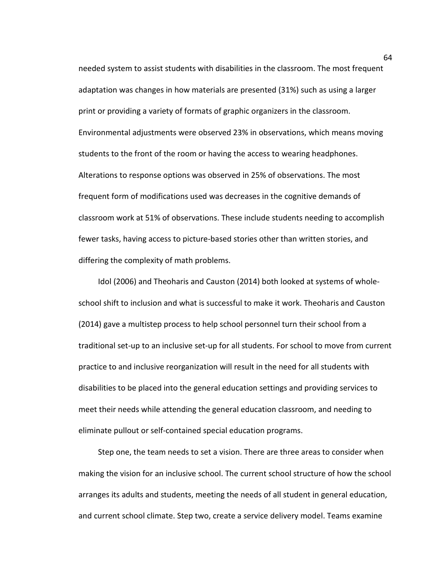needed system to assist students with disabilities in the classroom. The most frequent adaptation was changes in how materials are presented (31%) such as using a larger print or providing a variety of formats of graphic organizers in the classroom. Environmental adjustments were observed 23% in observations, which means moving students to the front of the room or having the access to wearing headphones. Alterations to response options was observed in 25% of observations. The most frequent form of modifications used was decreases in the cognitive demands of classroom work at 51% of observations. These include students needing to accomplish fewer tasks, having access to picture-based stories other than written stories, and differing the complexity of math problems.

Idol (2006) and Theoharis and Causton (2014) both looked at systems of wholeschool shift to inclusion and what is successful to make it work. Theoharis and Causton (2014) gave a multistep process to help school personnel turn their school from a traditional set-up to an inclusive set-up for all students. For school to move from current practice to and inclusive reorganization will result in the need for all students with disabilities to be placed into the general education settings and providing services to meet their needs while attending the general education classroom, and needing to eliminate pullout or self-contained special education programs.

Step one, the team needs to set a vision. There are three areas to consider when making the vision for an inclusive school. The current school structure of how the school arranges its adults and students, meeting the needs of all student in general education, and current school climate. Step two, create a service delivery model. Teams examine

64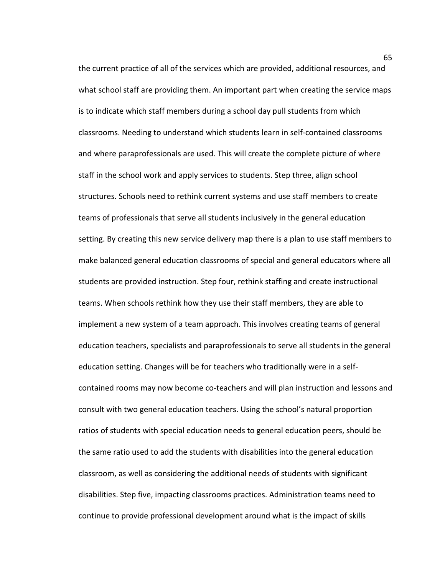the current practice of all of the services which are provided, additional resources, and what school staff are providing them. An important part when creating the service maps is to indicate which staff members during a school day pull students from which classrooms. Needing to understand which students learn in self-contained classrooms and where paraprofessionals are used. This will create the complete picture of where staff in the school work and apply services to students. Step three, align school structures. Schools need to rethink current systems and use staff members to create teams of professionals that serve all students inclusively in the general education setting. By creating this new service delivery map there is a plan to use staff members to make balanced general education classrooms of special and general educators where all students are provided instruction. Step four, rethink staffing and create instructional teams. When schools rethink how they use their staff members, they are able to implement a new system of a team approach. This involves creating teams of general education teachers, specialists and paraprofessionals to serve all students in the general education setting. Changes will be for teachers who traditionally were in a selfcontained rooms may now become co-teachers and will plan instruction and lessons and consult with two general education teachers. Using the school's natural proportion ratios of students with special education needs to general education peers, should be the same ratio used to add the students with disabilities into the general education classroom, as well as considering the additional needs of students with significant disabilities. Step five, impacting classrooms practices. Administration teams need to continue to provide professional development around what is the impact of skills

65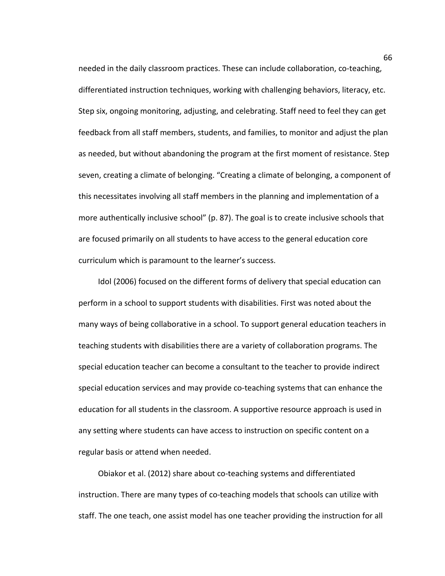needed in the daily classroom practices. These can include collaboration, co-teaching, differentiated instruction techniques, working with challenging behaviors, literacy, etc. Step six, ongoing monitoring, adjusting, and celebrating. Staff need to feel they can get feedback from all staff members, students, and families, to monitor and adjust the plan as needed, but without abandoning the program at the first moment of resistance. Step seven, creating a climate of belonging. "Creating a climate of belonging, a component of this necessitates involving all staff members in the planning and implementation of a more authentically inclusive school" (p. 87). The goal is to create inclusive schools that are focused primarily on all students to have access to the general education core curriculum which is paramount to the learner's success.

Idol (2006) focused on the different forms of delivery that special education can perform in a school to support students with disabilities. First was noted about the many ways of being collaborative in a school. To support general education teachers in teaching students with disabilities there are a variety of collaboration programs. The special education teacher can become a consultant to the teacher to provide indirect special education services and may provide co-teaching systems that can enhance the education for all students in the classroom. A supportive resource approach is used in any setting where students can have access to instruction on specific content on a regular basis or attend when needed.

Obiakor et al. (2012) share about co-teaching systems and differentiated instruction. There are many types of co-teaching models that schools can utilize with staff. The one teach, one assist model has one teacher providing the instruction for all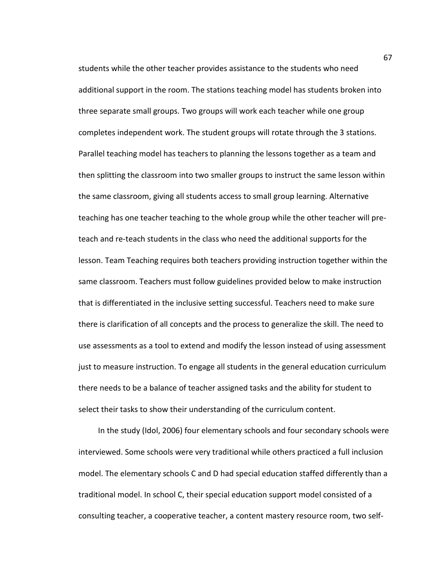students while the other teacher provides assistance to the students who need additional support in the room. The stations teaching model has students broken into three separate small groups. Two groups will work each teacher while one group completes independent work. The student groups will rotate through the 3 stations. Parallel teaching model has teachers to planning the lessons together as a team and then splitting the classroom into two smaller groups to instruct the same lesson within the same classroom, giving all students access to small group learning. Alternative teaching has one teacher teaching to the whole group while the other teacher will preteach and re-teach students in the class who need the additional supports for the lesson. Team Teaching requires both teachers providing instruction together within the same classroom. Teachers must follow guidelines provided below to make instruction that is differentiated in the inclusive setting successful. Teachers need to make sure there is clarification of all concepts and the process to generalize the skill. The need to use assessments as a tool to extend and modify the lesson instead of using assessment just to measure instruction. To engage all students in the general education curriculum there needs to be a balance of teacher assigned tasks and the ability for student to select their tasks to show their understanding of the curriculum content.

In the study (Idol, 2006) four elementary schools and four secondary schools were interviewed. Some schools were very traditional while others practiced a full inclusion model. The elementary schools C and D had special education staffed differently than a traditional model. In school C, their special education support model consisted of a consulting teacher, a cooperative teacher, a content mastery resource room, two self-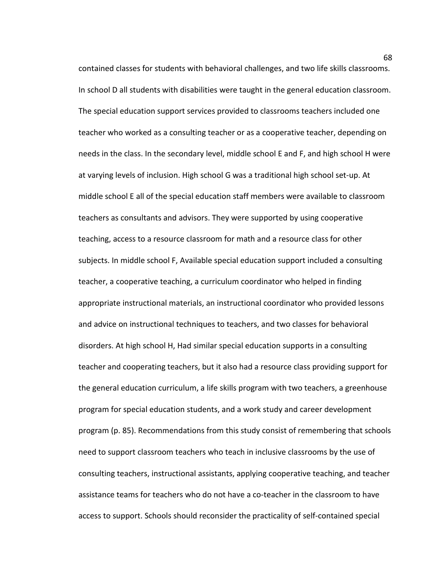contained classes for students with behavioral challenges, and two life skills classrooms. In school D all students with disabilities were taught in the general education classroom. The special education support services provided to classrooms teachers included one teacher who worked as a consulting teacher or as a cooperative teacher, depending on needs in the class. In the secondary level, middle school E and F, and high school H were at varying levels of inclusion. High school G was a traditional high school set-up. At middle school E all of the special education staff members were available to classroom teachers as consultants and advisors. They were supported by using cooperative teaching, access to a resource classroom for math and a resource class for other subjects. In middle school F, Available special education support included a consulting teacher, a cooperative teaching, a curriculum coordinator who helped in finding appropriate instructional materials, an instructional coordinator who provided lessons and advice on instructional techniques to teachers, and two classes for behavioral disorders. At high school H, Had similar special education supports in a consulting teacher and cooperating teachers, but it also had a resource class providing support for the general education curriculum, a life skills program with two teachers, a greenhouse program for special education students, and a work study and career development program (p. 85). Recommendations from this study consist of remembering that schools need to support classroom teachers who teach in inclusive classrooms by the use of consulting teachers, instructional assistants, applying cooperative teaching, and teacher assistance teams for teachers who do not have a co-teacher in the classroom to have access to support. Schools should reconsider the practicality of self-contained special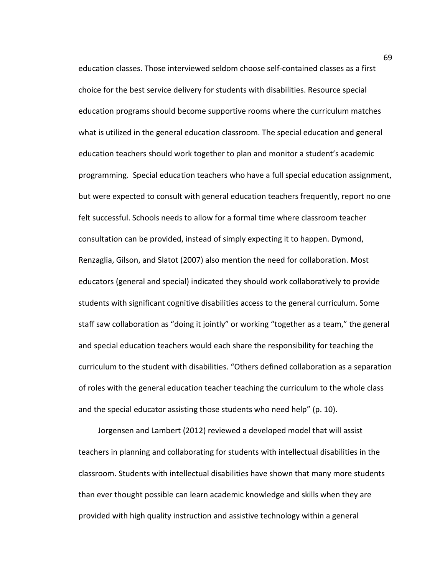education classes. Those interviewed seldom choose self-contained classes as a first choice for the best service delivery for students with disabilities. Resource special education programs should become supportive rooms where the curriculum matches what is utilized in the general education classroom. The special education and general education teachers should work together to plan and monitor a student's academic programming. Special education teachers who have a full special education assignment, but were expected to consult with general education teachers frequently, report no one felt successful. Schools needs to allow for a formal time where classroom teacher consultation can be provided, instead of simply expecting it to happen. Dymond, Renzaglia, Gilson, and Slatot (2007) also mention the need for collaboration. Most educators (general and special) indicated they should work collaboratively to provide students with significant cognitive disabilities access to the general curriculum. Some staff saw collaboration as "doing it jointly" or working "together as a team," the general and special education teachers would each share the responsibility for teaching the curriculum to the student with disabilities. "Others defined collaboration as a separation of roles with the general education teacher teaching the curriculum to the whole class and the special educator assisting those students who need help" (p. 10).

Jorgensen and Lambert (2012) reviewed a developed model that will assist teachers in planning and collaborating for students with intellectual disabilities in the classroom. Students with intellectual disabilities have shown that many more students than ever thought possible can learn academic knowledge and skills when they are provided with high quality instruction and assistive technology within a general

69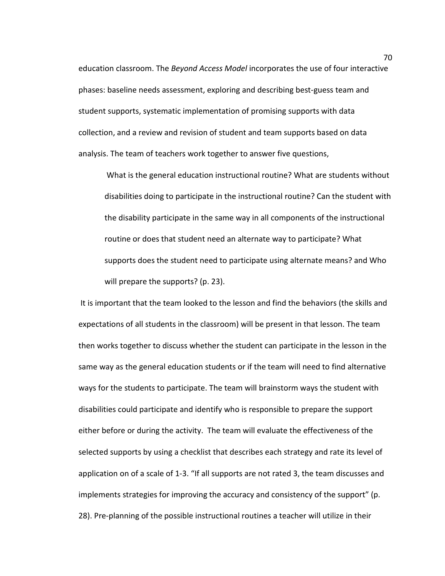education classroom. The *Beyond Access Model* incorporates the use of four interactive phases: baseline needs assessment, exploring and describing best-guess team and student supports, systematic implementation of promising supports with data collection, and a review and revision of student and team supports based on data analysis. The team of teachers work together to answer five questions,

What is the general education instructional routine? What are students without disabilities doing to participate in the instructional routine? Can the student with the disability participate in the same way in all components of the instructional routine or does that student need an alternate way to participate? What supports does the student need to participate using alternate means? and Who will prepare the supports? (p. 23).

It is important that the team looked to the lesson and find the behaviors (the skills and expectations of all students in the classroom) will be present in that lesson. The team then works together to discuss whether the student can participate in the lesson in the same way as the general education students or if the team will need to find alternative ways for the students to participate. The team will brainstorm ways the student with disabilities could participate and identify who is responsible to prepare the support either before or during the activity. The team will evaluate the effectiveness of the selected supports by using a checklist that describes each strategy and rate its level of application on of a scale of 1-3. "If all supports are not rated 3, the team discusses and implements strategies for improving the accuracy and consistency of the support" (p. 28). Pre-planning of the possible instructional routines a teacher will utilize in their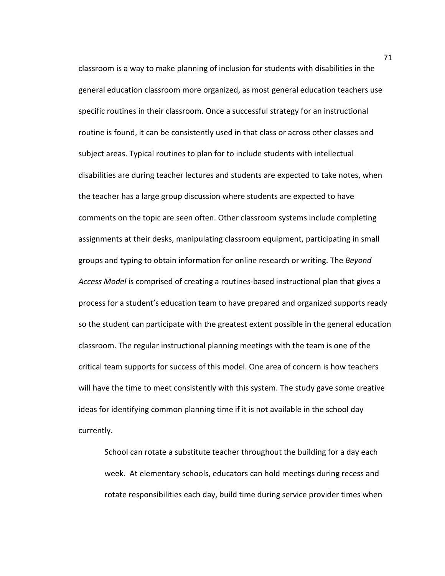classroom is a way to make planning of inclusion for students with disabilities in the general education classroom more organized, as most general education teachers use specific routines in their classroom. Once a successful strategy for an instructional routine is found, it can be consistently used in that class or across other classes and subject areas. Typical routines to plan for to include students with intellectual disabilities are during teacher lectures and students are expected to take notes, when the teacher has a large group discussion where students are expected to have comments on the topic are seen often. Other classroom systems include completing assignments at their desks, manipulating classroom equipment, participating in small groups and typing to obtain information for online research or writing. The *Beyond Access Model* is comprised of creating a routines-based instructional plan that gives a process for a student's education team to have prepared and organized supports ready so the student can participate with the greatest extent possible in the general education classroom. The regular instructional planning meetings with the team is one of the critical team supports for success of this model. One area of concern is how teachers will have the time to meet consistently with this system. The study gave some creative ideas for identifying common planning time if it is not available in the school day currently.

School can rotate a substitute teacher throughout the building for a day each week. At elementary schools, educators can hold meetings during recess and rotate responsibilities each day, build time during service provider times when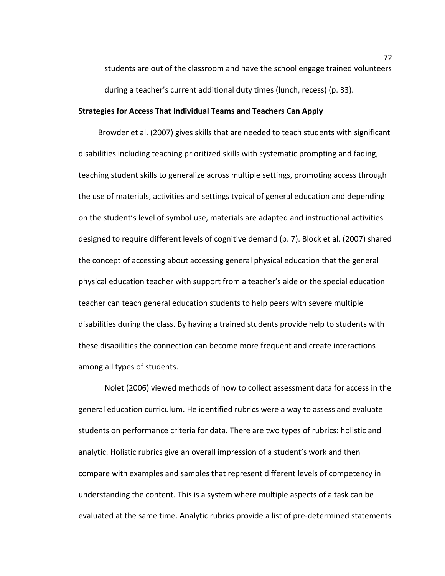students are out of the classroom and have the school engage trained volunteers during a teacher's current additional duty times (lunch, recess) (p. 33).

# **Strategies for Access That Individual Teams and Teachers Can Apply**

Browder et al. (2007) gives skills that are needed to teach students with significant disabilities including teaching prioritized skills with systematic prompting and fading, teaching student skills to generalize across multiple settings, promoting access through the use of materials, activities and settings typical of general education and depending on the student's level of symbol use, materials are adapted and instructional activities designed to require different levels of cognitive demand (p. 7). Block et al. (2007) shared the concept of accessing about accessing general physical education that the general physical education teacher with support from a teacher's aide or the special education teacher can teach general education students to help peers with severe multiple disabilities during the class. By having a trained students provide help to students with these disabilities the connection can become more frequent and create interactions among all types of students.

Nolet (2006) viewed methods of how to collect assessment data for access in the general education curriculum. He identified rubrics were a way to assess and evaluate students on performance criteria for data. There are two types of rubrics: holistic and analytic. Holistic rubrics give an overall impression of a student's work and then compare with examples and samples that represent different levels of competency in understanding the content. This is a system where multiple aspects of a task can be evaluated at the same time. Analytic rubrics provide a list of pre-determined statements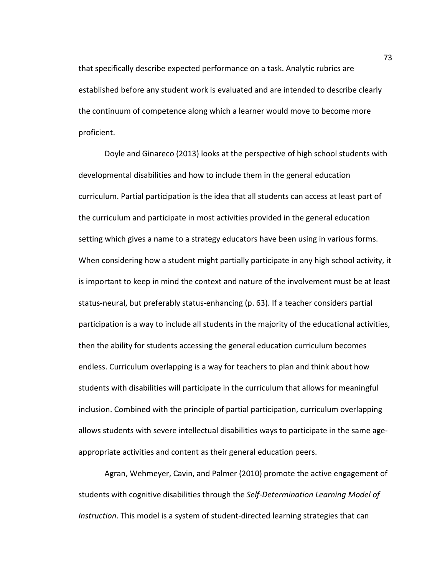that specifically describe expected performance on a task. Analytic rubrics are established before any student work is evaluated and are intended to describe clearly the continuum of competence along which a learner would move to become more proficient.

Doyle and Ginareco (2013) looks at the perspective of high school students with developmental disabilities and how to include them in the general education curriculum. Partial participation is the idea that all students can access at least part of the curriculum and participate in most activities provided in the general education setting which gives a name to a strategy educators have been using in various forms. When considering how a student might partially participate in any high school activity, it is important to keep in mind the context and nature of the involvement must be at least status-neural, but preferably status-enhancing (p. 63). If a teacher considers partial participation is a way to include all students in the majority of the educational activities, then the ability for students accessing the general education curriculum becomes endless. Curriculum overlapping is a way for teachers to plan and think about how students with disabilities will participate in the curriculum that allows for meaningful inclusion. Combined with the principle of partial participation, curriculum overlapping allows students with severe intellectual disabilities ways to participate in the same ageappropriate activities and content as their general education peers.

Agran, Wehmeyer, Cavin, and Palmer (2010) promote the active engagement of students with cognitive disabilities through the *Self-Determination Learning Model of Instruction*. This model is a system of student-directed learning strategies that can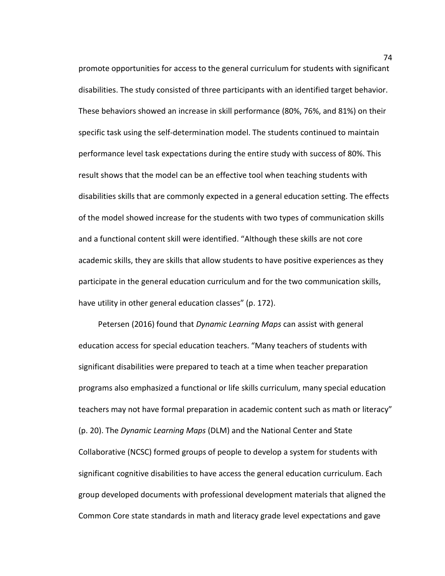promote opportunities for access to the general curriculum for students with significant disabilities. The study consisted of three participants with an identified target behavior. These behaviors showed an increase in skill performance (80%, 76%, and 81%) on their specific task using the self-determination model. The students continued to maintain performance level task expectations during the entire study with success of 80%. This result shows that the model can be an effective tool when teaching students with disabilities skills that are commonly expected in a general education setting. The effects of the model showed increase for the students with two types of communication skills and a functional content skill were identified. "Although these skills are not core academic skills, they are skills that allow students to have positive experiences as they participate in the general education curriculum and for the two communication skills, have utility in other general education classes" (p. 172).

Petersen (2016) found that *Dynamic Learning Maps* can assist with general education access for special education teachers. "Many teachers of students with significant disabilities were prepared to teach at a time when teacher preparation programs also emphasized a functional or life skills curriculum, many special education teachers may not have formal preparation in academic content such as math or literacy" (p. 20). The *Dynamic Learning Maps* (DLM) and the National Center and State Collaborative (NCSC) formed groups of people to develop a system for students with significant cognitive disabilities to have access the general education curriculum. Each group developed documents with professional development materials that aligned the Common Core state standards in math and literacy grade level expectations and gave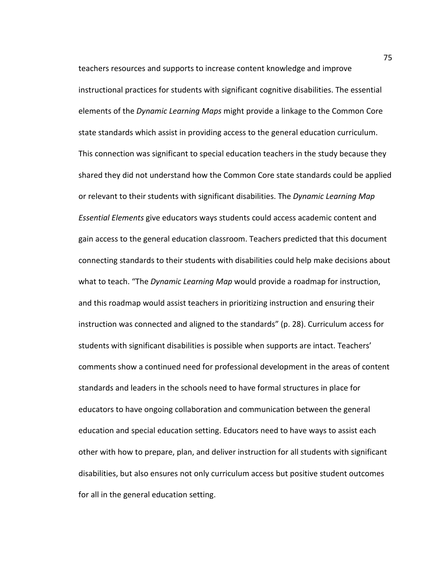teachers resources and supports to increase content knowledge and improve instructional practices for students with significant cognitive disabilities. The essential elements of the *Dynamic Learning Maps* might provide a linkage to the Common Core state standards which assist in providing access to the general education curriculum. This connection was significant to special education teachers in the study because they shared they did not understand how the Common Core state standards could be applied or relevant to their students with significant disabilities. The *Dynamic Learning Map Essential Elements* give educators ways students could access academic content and gain access to the general education classroom. Teachers predicted that this document connecting standards to their students with disabilities could help make decisions about what to teach. "The *Dynamic Learning Map* would provide a roadmap for instruction, and this roadmap would assist teachers in prioritizing instruction and ensuring their instruction was connected and aligned to the standards" (p. 28). Curriculum access for students with significant disabilities is possible when supports are intact. Teachers' comments show a continued need for professional development in the areas of content standards and leaders in the schools need to have formal structures in place for educators to have ongoing collaboration and communication between the general education and special education setting. Educators need to have ways to assist each other with how to prepare, plan, and deliver instruction for all students with significant disabilities, but also ensures not only curriculum access but positive student outcomes for all in the general education setting.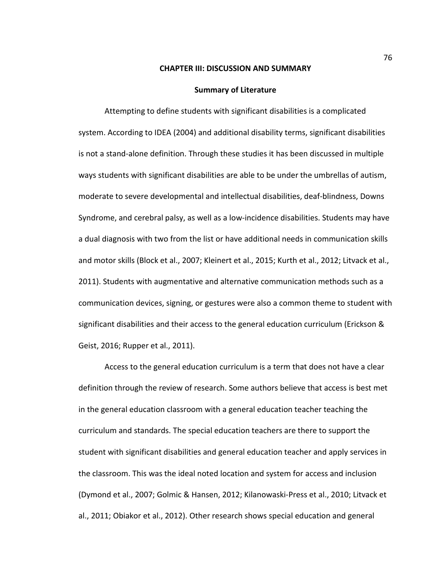# **CHAPTER III: DISCUSSION AND SUMMARY**

#### **Summary of Literature**

Attempting to define students with significant disabilities is a complicated system. According to IDEA (2004) and additional disability terms, significant disabilities is not a stand-alone definition. Through these studies it has been discussed in multiple ways students with significant disabilities are able to be under the umbrellas of autism, moderate to severe developmental and intellectual disabilities, deaf-blindness, Downs Syndrome, and cerebral palsy, as well as a low-incidence disabilities. Students may have a dual diagnosis with two from the list or have additional needs in communication skills and motor skills (Block et al., 2007; Kleinert et al., 2015; Kurth et al., 2012; Litvack et al., 2011). Students with augmentative and alternative communication methods such as a communication devices, signing, or gestures were also a common theme to student with significant disabilities and their access to the general education curriculum (Erickson & Geist, 2016; Rupper et al., 2011).

Access to the general education curriculum is a term that does not have a clear definition through the review of research. Some authors believe that access is best met in the general education classroom with a general education teacher teaching the curriculum and standards. The special education teachers are there to support the student with significant disabilities and general education teacher and apply services in the classroom. This was the ideal noted location and system for access and inclusion (Dymond et al., 2007; Golmic & Hansen, 2012; Kilanowaski-Press et al., 2010; Litvack et al., 2011; Obiakor et al., 2012). Other research shows special education and general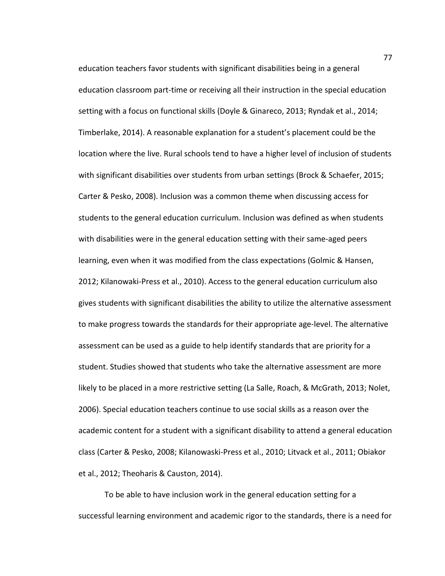education teachers favor students with significant disabilities being in a general education classroom part-time or receiving all their instruction in the special education setting with a focus on functional skills (Doyle & Ginareco, 2013; Ryndak et al., 2014; Timberlake, 2014). A reasonable explanation for a student's placement could be the location where the live. Rural schools tend to have a higher level of inclusion of students with significant disabilities over students from urban settings (Brock & Schaefer, 2015; Carter & Pesko, 2008). Inclusion was a common theme when discussing access for students to the general education curriculum. Inclusion was defined as when students with disabilities were in the general education setting with their same-aged peers learning, even when it was modified from the class expectations (Golmic & Hansen, 2012; Kilanowaki-Press et al., 2010). Access to the general education curriculum also gives students with significant disabilities the ability to utilize the alternative assessment to make progress towards the standards for their appropriate age-level. The alternative assessment can be used as a guide to help identify standards that are priority for a student. Studies showed that students who take the alternative assessment are more likely to be placed in a more restrictive setting (La Salle, Roach, & McGrath, 2013; Nolet, 2006). Special education teachers continue to use social skills as a reason over the academic content for a student with a significant disability to attend a general education class (Carter & Pesko, 2008; Kilanowaski-Press et al., 2010; Litvack et al., 2011; Obiakor et al., 2012; Theoharis & Causton, 2014).

To be able to have inclusion work in the general education setting for a successful learning environment and academic rigor to the standards, there is a need for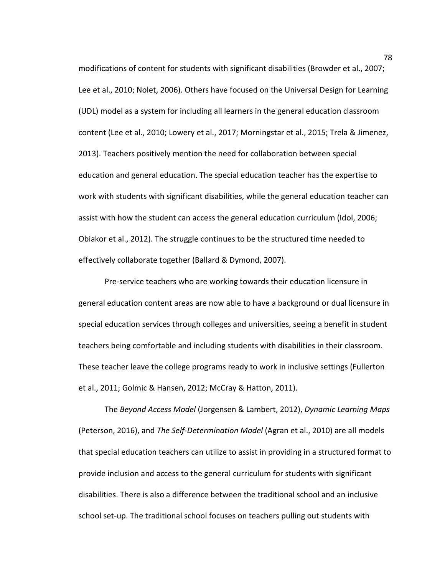modifications of content for students with significant disabilities (Browder et al., 2007; Lee et al., 2010; Nolet, 2006). Others have focused on the Universal Design for Learning (UDL) model as a system for including all learners in the general education classroom content (Lee et al., 2010; Lowery et al., 2017; Morningstar et al., 2015; Trela & Jimenez, 2013). Teachers positively mention the need for collaboration between special education and general education. The special education teacher has the expertise to work with students with significant disabilities, while the general education teacher can assist with how the student can access the general education curriculum (Idol, 2006; Obiakor et al., 2012). The struggle continues to be the structured time needed to effectively collaborate together (Ballard & Dymond, 2007).

Pre-service teachers who are working towards their education licensure in general education content areas are now able to have a background or dual licensure in special education services through colleges and universities, seeing a benefit in student teachers being comfortable and including students with disabilities in their classroom. These teacher leave the college programs ready to work in inclusive settings (Fullerton et al., 2011; Golmic & Hansen, 2012; McCray & Hatton, 2011).

The *Beyond Access Model* (Jorgensen & Lambert, 2012), *Dynamic Learning Maps* (Peterson, 2016), and *The Self-Determination Model* (Agran et al., 2010) are all models that special education teachers can utilize to assist in providing in a structured format to provide inclusion and access to the general curriculum for students with significant disabilities. There is also a difference between the traditional school and an inclusive school set-up. The traditional school focuses on teachers pulling out students with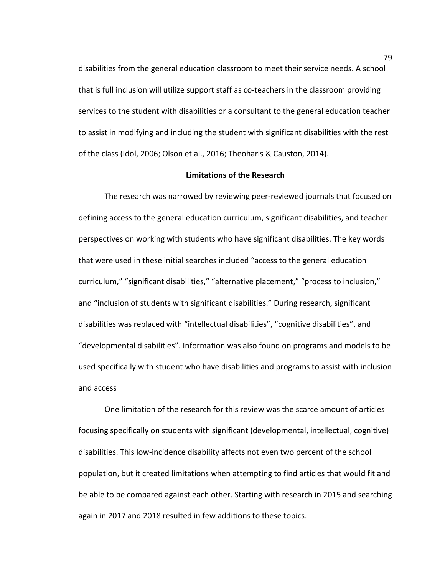disabilities from the general education classroom to meet their service needs. A school that is full inclusion will utilize support staff as co-teachers in the classroom providing services to the student with disabilities or a consultant to the general education teacher to assist in modifying and including the student with significant disabilities with the rest of the class (Idol, 2006; Olson et al., 2016; Theoharis & Causton, 2014).

# **Limitations of the Research**

The research was narrowed by reviewing peer-reviewed journals that focused on defining access to the general education curriculum, significant disabilities, and teacher perspectives on working with students who have significant disabilities. The key words that were used in these initial searches included "access to the general education curriculum," "significant disabilities," "alternative placement," "process to inclusion," and "inclusion of students with significant disabilities." During research, significant disabilities was replaced with "intellectual disabilities", "cognitive disabilities", and "developmental disabilities". Information was also found on programs and models to be used specifically with student who have disabilities and programs to assist with inclusion and access

One limitation of the research for this review was the scarce amount of articles focusing specifically on students with significant (developmental, intellectual, cognitive) disabilities. This low-incidence disability affects not even two percent of the school population, but it created limitations when attempting to find articles that would fit and be able to be compared against each other. Starting with research in 2015 and searching again in 2017 and 2018 resulted in few additions to these topics.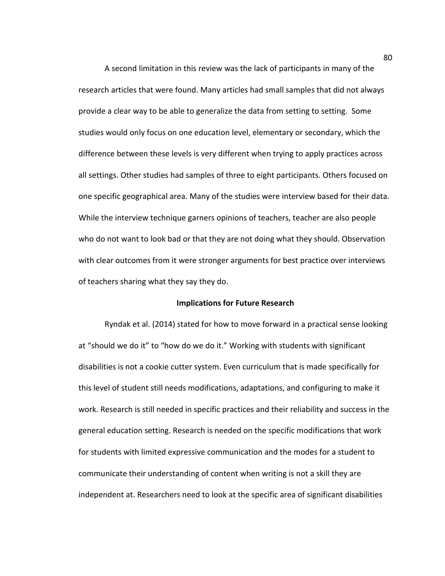A second limitation in this review was the lack of participants in many of the research articles that were found. Many articles had small samples that did not always provide a clear way to be able to generalize the data from setting to setting. Some studies would only focus on one education level, elementary or secondary, which the difference between these levels is very different when trying to apply practices across all settings. Other studies had samples of three to eight participants. Others focused on one specific geographical area. Many of the studies were interview based for their data. While the interview technique garners opinions of teachers, teacher are also people who do not want to look bad or that they are not doing what they should. Observation with clear outcomes from it were stronger arguments for best practice over interviews of teachers sharing what they say they do.

### **Implications for Future Research**

Ryndak et al. (2014) stated for how to move forward in a practical sense looking at "should we do it" to "how do we do it." Working with students with significant disabilities is not a cookie cutter system. Even curriculum that is made specifically for this level of student still needs modifications, adaptations, and configuring to make it work. Research is still needed in specific practices and their reliability and success in the general education setting. Research is needed on the specific modifications that work for students with limited expressive communication and the modes for a student to communicate their understanding of content when writing is not a skill they are independent at. Researchers need to look at the specific area of significant disabilities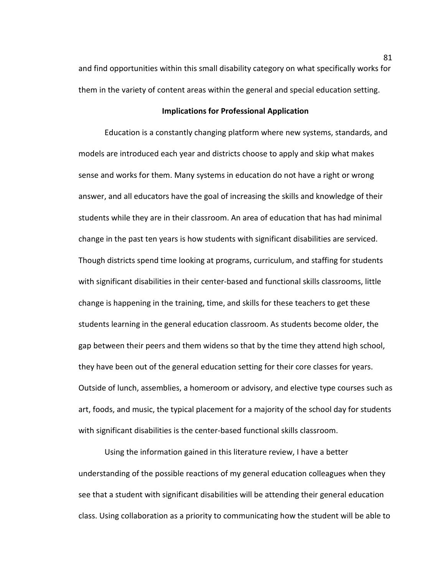and find opportunities within this small disability category on what specifically works for them in the variety of content areas within the general and special education setting.

# **Implications for Professional Application**

Education is a constantly changing platform where new systems, standards, and models are introduced each year and districts choose to apply and skip what makes sense and works for them. Many systems in education do not have a right or wrong answer, and all educators have the goal of increasing the skills and knowledge of their students while they are in their classroom. An area of education that has had minimal change in the past ten years is how students with significant disabilities are serviced. Though districts spend time looking at programs, curriculum, and staffing for students with significant disabilities in their center-based and functional skills classrooms, little change is happening in the training, time, and skills for these teachers to get these students learning in the general education classroom. As students become older, the gap between their peers and them widens so that by the time they attend high school, they have been out of the general education setting for their core classes for years. Outside of lunch, assemblies, a homeroom or advisory, and elective type courses such as art, foods, and music, the typical placement for a majority of the school day for students with significant disabilities is the center-based functional skills classroom.

Using the information gained in this literature review, I have a better understanding of the possible reactions of my general education colleagues when they see that a student with significant disabilities will be attending their general education class. Using collaboration as a priority to communicating how the student will be able to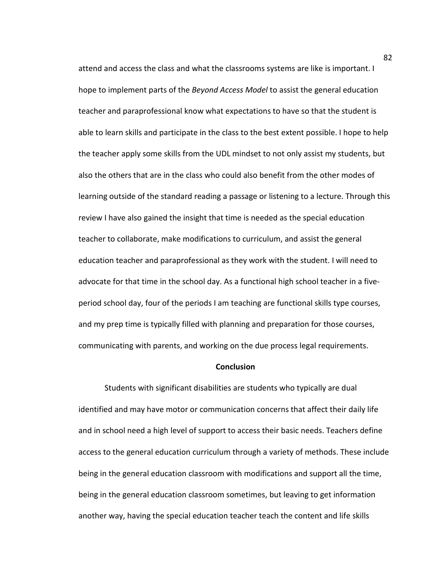attend and access the class and what the classrooms systems are like is important. I hope to implement parts of the *Beyond Access Model* to assist the general education teacher and paraprofessional know what expectations to have so that the student is able to learn skills and participate in the class to the best extent possible. I hope to help the teacher apply some skills from the UDL mindset to not only assist my students, but also the others that are in the class who could also benefit from the other modes of learning outside of the standard reading a passage or listening to a lecture. Through this review I have also gained the insight that time is needed as the special education teacher to collaborate, make modifications to curriculum, and assist the general education teacher and paraprofessional as they work with the student. I will need to advocate for that time in the school day. As a functional high school teacher in a fiveperiod school day, four of the periods I am teaching are functional skills type courses, and my prep time is typically filled with planning and preparation for those courses, communicating with parents, and working on the due process legal requirements.

### **Conclusion**

Students with significant disabilities are students who typically are dual identified and may have motor or communication concerns that affect their daily life and in school need a high level of support to access their basic needs. Teachers define access to the general education curriculum through a variety of methods. These include being in the general education classroom with modifications and support all the time, being in the general education classroom sometimes, but leaving to get information another way, having the special education teacher teach the content and life skills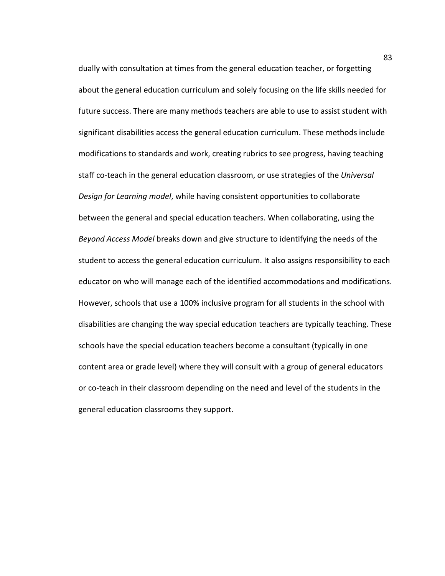dually with consultation at times from the general education teacher, or forgetting about the general education curriculum and solely focusing on the life skills needed for future success. There are many methods teachers are able to use to assist student with significant disabilities access the general education curriculum. These methods include modifications to standards and work, creating rubrics to see progress, having teaching staff co-teach in the general education classroom, or use strategies of the *Universal Design for Learning model*, while having consistent opportunities to collaborate between the general and special education teachers. When collaborating, using the *Beyond Access Model* breaks down and give structure to identifying the needs of the student to access the general education curriculum. It also assigns responsibility to each educator on who will manage each of the identified accommodations and modifications. However, schools that use a 100% inclusive program for all students in the school with disabilities are changing the way special education teachers are typically teaching. These schools have the special education teachers become a consultant (typically in one content area or grade level) where they will consult with a group of general educators or co-teach in their classroom depending on the need and level of the students in the general education classrooms they support.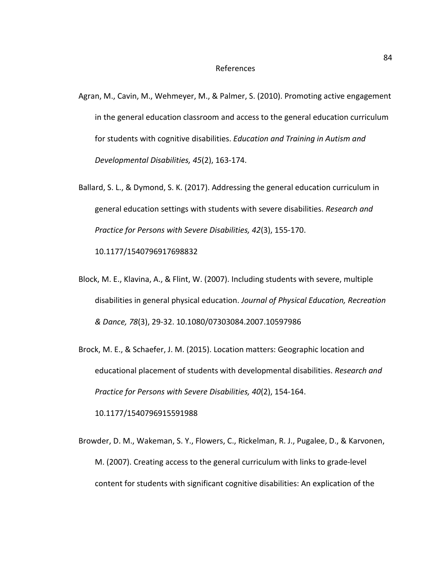#### References

- Agran, M., Cavin, M., Wehmeyer, M., & Palmer, S. (2010). Promoting active engagement in the general education classroom and access to the general education curriculum for students with cognitive disabilities. *Education and Training in Autism and Developmental Disabilities, 45*(2), 163-174.
- Ballard, S. L., & Dymond, S. K. (2017). Addressing the general education curriculum in general education settings with students with severe disabilities. *Research and Practice for Persons with Severe Disabilities, 42*(3), 155-170.

10.1177/1540796917698832

- Block, M. E., Klavina, A., & Flint, W. (2007). Including students with severe, multiple disabilities in general physical education. *Journal of Physical Education, Recreation & Dance, 78*(3), 29-32. 10.1080/07303084.2007.10597986
- Brock, M. E., & Schaefer, J. M. (2015). Location matters: Geographic location and educational placement of students with developmental disabilities. *Research and Practice for Persons with Severe Disabilities, 40*(2), 154-164.

10.1177/1540796915591988

Browder, D. M., Wakeman, S. Y., Flowers, C., Rickelman, R. J., Pugalee, D., & Karvonen, M. (2007). Creating access to the general curriculum with links to grade-level content for students with significant cognitive disabilities: An explication of the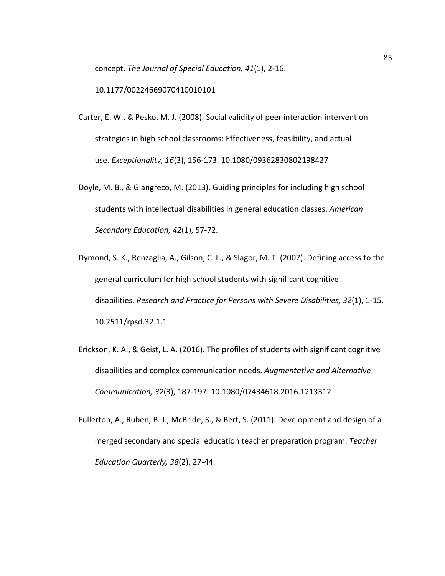concept. *The Journal of Special Education, 41*(1), 2-16.

10.1177/00224669070410010101

- Carter, E. W., & Pesko, M. J. (2008). Social validity of peer interaction intervention strategies in high school classrooms: Effectiveness, feasibility, and actual use. *Exceptionality, 16*(3), 156-173. 10.1080/09362830802198427
- Doyle, M. B., & Giangreco, M. (2013). Guiding principles for including high school students with intellectual disabilities in general education classes. *American Secondary Education, 42*(1), 57-72.
- Dymond, S. K., Renzaglia, A., Gilson, C. L., & Slagor, M. T. (2007). Defining access to the general curriculum for high school students with significant cognitive disabilities. *Research and Practice for Persons with Severe Disabilities, 32*(1), 1-15. 10.2511/rpsd.32.1.1
- Erickson, K. A., & Geist, L. A. (2016). The profiles of students with significant cognitive disabilities and complex communication needs. *Augmentative and Alternative Communication, 32*(3), 187-197. 10.1080/07434618.2016.1213312
- Fullerton, A., Ruben, B. J., McBride, S., & Bert, S. (2011). Development and design of a merged secondary and special education teacher preparation program. *Teacher Education Quarterly, 38*(2), 27-44.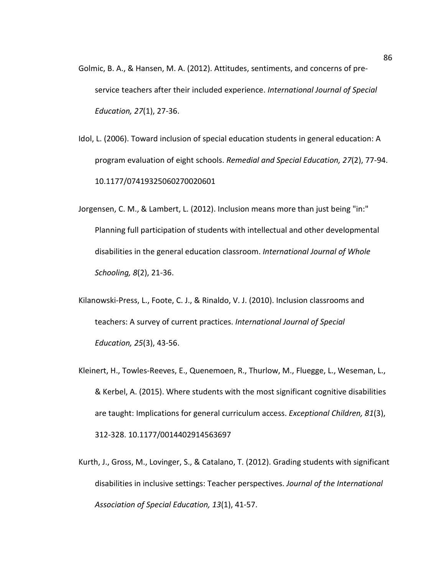- Golmic, B. A., & Hansen, M. A. (2012). Attitudes, sentiments, and concerns of preservice teachers after their included experience. *International Journal of Special Education, 27*(1), 27-36.
- Idol, L. (2006). Toward inclusion of special education students in general education: A program evaluation of eight schools. *Remedial and Special Education, 27*(2), 77-94. 10.1177/07419325060270020601
- Jorgensen, C. M., & Lambert, L. (2012). Inclusion means more than just being "in:" Planning full participation of students with intellectual and other developmental disabilities in the general education classroom. *International Journal of Whole Schooling, 8*(2), 21-36.
- Kilanowski-Press, L., Foote, C. J., & Rinaldo, V. J. (2010). Inclusion classrooms and teachers: A survey of current practices. *International Journal of Special Education, 25*(3), 43-56.
- Kleinert, H., Towles-Reeves, E., Quenemoen, R., Thurlow, M., Fluegge, L., Weseman, L., & Kerbel, A. (2015). Where students with the most significant cognitive disabilities are taught: Implications for general curriculum access. *Exceptional Children, 81*(3), 312-328. 10.1177/0014402914563697
- Kurth, J., Gross, M., Lovinger, S., & Catalano, T. (2012). Grading students with significant disabilities in inclusive settings: Teacher perspectives. *Journal of the International Association of Special Education, 13*(1), 41-57.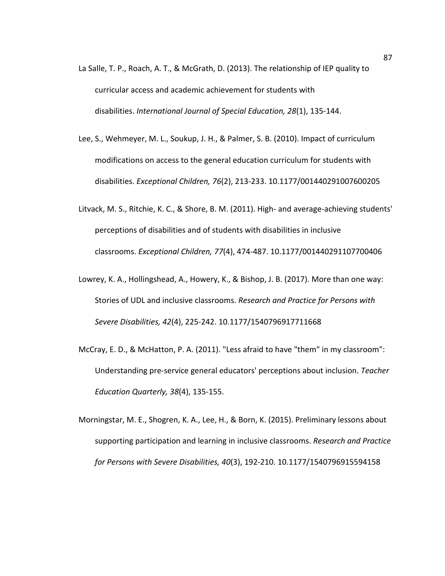- La Salle, T. P., Roach, A. T., & McGrath, D. (2013). The relationship of IEP quality to curricular access and academic achievement for students with disabilities. *International Journal of Special Education, 28*(1), 135-144.
- Lee, S., Wehmeyer, M. L., Soukup, J. H., & Palmer, S. B. (2010). Impact of curriculum modifications on access to the general education curriculum for students with disabilities. *Exceptional Children, 76*(2), 213-233. 10.1177/001440291007600205
- Litvack, M. S., Ritchie, K. C., & Shore, B. M. (2011). High- and average-achieving students' perceptions of disabilities and of students with disabilities in inclusive classrooms. *Exceptional Children, 77*(4), 474-487. 10.1177/001440291107700406
- Lowrey, K. A., Hollingshead, A., Howery, K., & Bishop, J. B. (2017). More than one way: Stories of UDL and inclusive classrooms. *Research and Practice for Persons with Severe Disabilities, 42*(4), 225-242. 10.1177/1540796917711668
- McCray, E. D., & McHatton, P. A. (2011). "Less afraid to have "them" in my classroom": Understanding pre-service general educators' perceptions about inclusion. *Teacher Education Quarterly, 38*(4), 135-155.
- Morningstar, M. E., Shogren, K. A., Lee, H., & Born, K. (2015). Preliminary lessons about supporting participation and learning in inclusive classrooms. *Research and Practice for Persons with Severe Disabilities, 40*(3), 192-210. 10.1177/1540796915594158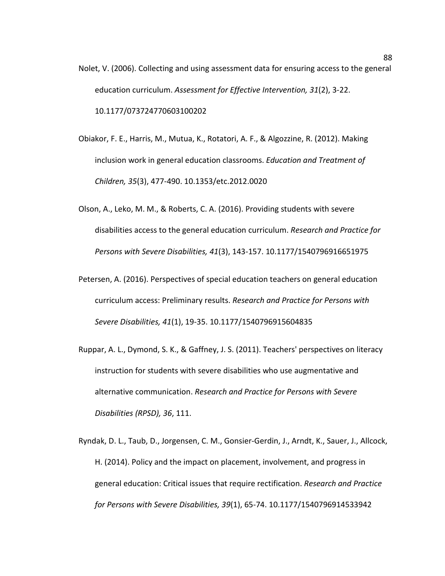- Nolet, V. (2006). Collecting and using assessment data for ensuring access to the general education curriculum. *Assessment for Effective Intervention, 31*(2), 3-22. 10.1177/073724770603100202
- Obiakor, F. E., Harris, M., Mutua, K., Rotatori, A. F., & Algozzine, R. (2012). Making inclusion work in general education classrooms. *Education and Treatment of Children, 35*(3), 477-490. 10.1353/etc.2012.0020
- Olson, A., Leko, M. M., & Roberts, C. A. (2016). Providing students with severe disabilities access to the general education curriculum. *Research and Practice for Persons with Severe Disabilities, 41*(3), 143-157. 10.1177/1540796916651975
- Petersen, A. (2016). Perspectives of special education teachers on general education curriculum access: Preliminary results. *Research and Practice for Persons with Severe Disabilities, 41*(1), 19-35. 10.1177/1540796915604835
- Ruppar, A. L., Dymond, S. K., & Gaffney, J. S. (2011). Teachers' perspectives on literacy instruction for students with severe disabilities who use augmentative and alternative communication. *Research and Practice for Persons with Severe Disabilities (RPSD), 36*, 111.
- Ryndak, D. L., Taub, D., Jorgensen, C. M., Gonsier-Gerdin, J., Arndt, K., Sauer, J., Allcock, H. (2014). Policy and the impact on placement, involvement, and progress in general education: Critical issues that require rectification. *Research and Practice for Persons with Severe Disabilities, 39*(1), 65-74. 10.1177/1540796914533942